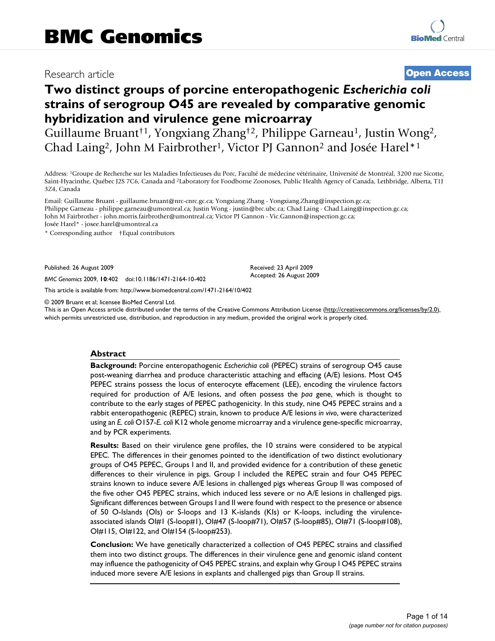# Research article **[Open Access](http://www.biomedcentral.com/info/about/charter/)**

# **Two distinct groups of porcine enteropathogenic** *Escherichia coli*  **strains of serogroup O45 are revealed by comparative genomic hybridization and virulence gene microarray**

Guillaume Bruant<sup>†1</sup>, Yongxiang Zhang<sup>†2</sup>, Philippe Garneau<sup>1</sup>, Justin Wong<sup>2</sup>, Chad Laing2, John M Fairbrother1, Victor PJ Gannon2 and Josée Harel\*1

Address: 1Groupe de Recherche sur les Maladies Infectieuses du Porc, Faculté de médecine vétérinaire, Université de Montréal, 3200 rue Sicotte, Saint-Hyacinthe, Québec J2S 7C6, Canada and 2Laboratory for Foodborne Zoonoses, Public Health Agency of Canada, Lethbridge, Alberta, T1J 3Z4, Canada

Email: Guillaume Bruant - guillaume.bruant@nrc-cnrc.gc.ca; Yongxiang Zhang - Yongxiang.Zhang@inspection.gc.ca; Philippe Garneau - philippe.garneau@umontreal.ca; Justin Wong - justin@brc.ubc.ca; Chad Laing - Chad.Laing@inspection.gc.ca; John M Fairbrother - john.morris.fairbrother@umontreal.ca; Victor PJ Gannon - Vic.Gannon@inspection.gc.ca; Josée Harel\* - josee.harel@umontreal.ca

\* Corresponding author †Equal contributors

Published: 26 August 2009

*BMC Genomics* 2009, **10**:402 doi:10.1186/1471-2164-10-402

[This article is available from: http://www.biomedcentral.com/1471-2164/10/402](http://www.biomedcentral.com/1471-2164/10/402)

© 2009 Bruant et al; licensee BioMed Central Ltd.

This is an Open Access article distributed under the terms of the Creative Commons Attribution License [\(http://creativecommons.org/licenses/by/2.0\)](http://creativecommons.org/licenses/by/2.0), which permits unrestricted use, distribution, and reproduction in any medium, provided the original work is properly cited.

Received: 23 April 2009 Accepted: 26 August 2009

#### **Abstract**

**Background:** Porcine enteropathogenic *Escherichia coli* (PEPEC) strains of serogroup O45 cause post-weaning diarrhea and produce characteristic attaching and effacing (A/E) lesions. Most O45 PEPEC strains possess the locus of enterocyte effacement (LEE), encoding the virulence factors required for production of A/E lesions, and often possess the *paa* gene, which is thought to contribute to the early stages of PEPEC pathogenicity. In this study, nine O45 PEPEC strains and a rabbit enteropathogenic (REPEC) strain, known to produce A/E lesions *in vivo*, were characterized using an *E. coli* O157-*E. coli* K12 whole genome microarray and a virulence gene-specific microarray, and by PCR experiments.

**Results:** Based on their virulence gene profiles, the 10 strains were considered to be atypical EPEC. The differences in their genomes pointed to the identification of two distinct evolutionary groups of O45 PEPEC, Groups I and II, and provided evidence for a contribution of these genetic differences to their virulence in pigs. Group I included the REPEC strain and four O45 PEPEC strains known to induce severe A/E lesions in challenged pigs whereas Group II was composed of the five other O45 PEPEC strains, which induced less severe or no A/E lesions in challenged pigs. Significant differences between Groups I and II were found with respect to the presence or absence of 50 O-Islands (OIs) or S-loops and 13 K-islands (KIs) or K-loops, including the virulenceassociated islands OI#1 (S-loop#1), OI#47 (S-loop#71), OI#57 (S-loop#85), OI#71 (S-loop#108), OI#115, OI#122, and OI#154 (S-loop#253).

**Conclusion:** We have genetically characterized a collection of O45 PEPEC strains and classified them into two distinct groups. The differences in their virulence gene and genomic island content may influence the pathogenicity of O45 PEPEC strains, and explain why Group I O45 PEPEC strains induced more severe A/E lesions in explants and challenged pigs than Group II strains.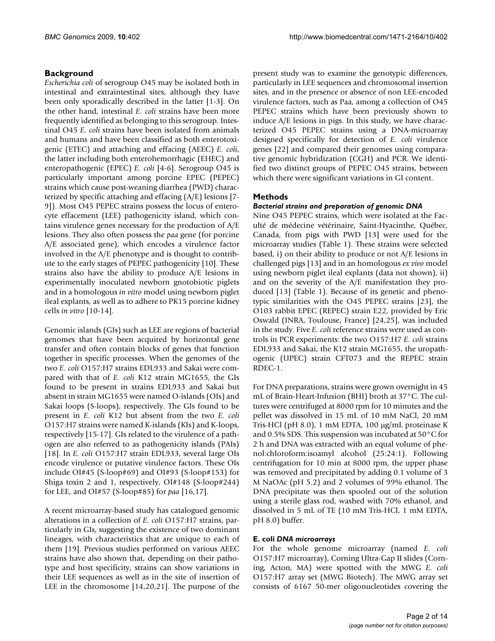# **Background**

*Escherichia coli* of serogroup O45 may be isolated both in intestinal and extraintestinal sites, although they have been only sporadically described in the latter [1-3]. On the other hand, intestinal *E. coli* strains have been more frequently identified as belonging to this serogroup. Intestinal O45 *E. coli* strains have been isolated from animals and humans and have been classified as both enterotoxigenic (ETEC) and attaching and effacing (AEEC) *E. coli*, the latter including both enterohemorrhagic (EHEC) and enteropathogenic (EPEC) *E. coli* [[4](#page-11-0)[-6\]](#page-11-1). Serogroup O45 is particularly important among porcine EPEC (PEPEC) strains which cause post-weaning diarrhea (PWD) characterized by specific attaching and effacing (A/E) lesions [7- 9]). Most O45 PEPEC strains possess the locus of enterocyte effacement (LEE) pathogenicity island, which contains virulence genes necessary for the production of A/E lesions. They also often possess the *paa* gene (for porcine A/E associated gene), which encodes a virulence factor involved in the A/E phenotype and is thought to contribute to the early stages of PEPEC pathogenicity [10]. These strains also have the ability to produce A/E lesions in experimentally inoculated newborn gnotobiotic piglets and in a homologous *in vitro* model using newborn piglet ileal explants, as well as to adhere to PK15 porcine kidney cells *in vitro* [10-14].

Genomic islands (GIs) such as LEE are regions of bacterial genomes that have been acquired by horizontal gene transfer and often contain blocks of genes that function together in specific processes. When the genomes of the two *E. coli* O157:H7 strains EDL933 and Sakai were compared with that of *E. coli* K12 strain MG1655, the GIs found to be present in strains EDL933 and Sakai but absent in strain MG1655 were named O-islands (OIs) and Sakai loops (S-loops), respectively. The GIs found to be present in *E. coli* K12 but absent from the two *E. coli* O157:H7 strains were named K-islands (KIs) and K-loops, respectively [15-17]. GIs related to the virulence of a pathogen are also referred to as pathogenicity islands (PAIs) [18]. In *E. coli* O157:H7 strain EDL933, several large OIs encode virulence or putative virulence factors. These OIs include OI#45 (S-loop#69) and OI#93 (S-loop#153) for Shiga toxin 2 and 1, respectively, OI#148 (S-loop#244) for LEE, and OI#57 (S-loop#85) for *paa* [16,17].

A recent microarray-based study has catalogued genomic alterations in a collection of *E. coli* O157:H7 strains, particularly in GIs, suggesting the existence of two dominant lineages, with characteristics that are unique to each of them [19]. Previous studies performed on various AEEC strains have also shown that, depending on their pathotype and host specificity, strains can show variations in their LEE sequences as well as in the site of insertion of LEE in the chromosome [14,20,21]. The purpose of the

present study was to examine the genotypic differences, particularly in LEE sequences and chromosomal insertion sites, and in the presence or absence of non LEE-encoded virulence factors, such as Paa, among a collection of O45 PEPEC strains which have been previously shown to induce A/E lesions in pigs. In this study, we have characterized O45 PEPEC strains using a DNA-microarray designed specifically for detection of *E. coli* virulence genes [22] and compared their genomes using comparative genomic hybridization (CGH) and PCR. We identified two distinct groups of PEPEC O45 strains, between which there were significant variations in GI content.

# **Methods**

### *Bacterial strains and preparation of genomic DNA*

Nine O45 PEPEC strains, which were isolated at the Faculté de médecine vétérinaire, Saint-Hyacinthe, Québec, Canada, from pigs with PWD [13] were used for the microarray studies (Table 1). These strains were selected based, i) on their ability to produce or not A/E lesions in challenged pigs [13] and in an homologous *ex vivo* model using newborn piglet ileal explants (data not shown), ii) and on the severity of the A/E manifestation they produced [13] (Table 1). Because of its genetic and phenotypic similarities with the O45 PEPEC strains [23], the O103 rabbit EPEC (REPEC) strain E22, provided by Eric Oswald (INRA, Toulouse, France) [24,25], was included in the study. Five *E. coli* reference strains were used as controls in PCR experiments: the two O157:H7 *E. coli* strains EDL933 and Sakai, the K12 strain MG1655, the uropathogenic (UPEC) strain CFT073 and the REPEC strain RDEC-1.

For DNA preparations, strains were grown overnight in 45 mL of Brain-Heart-Infusion (BHI) broth at 37°C. The cultures were centrifuged at 8000 rpm for 10 minutes and the pellet was dissolved in 15 mL of 10 mM NaCl, 20 mM Tris-HCl (pH 8.0), 1 mM EDTA, 100 μg/mL proteinase K and 0.5% SDS. This suspension was incubated at 50°C for 2 h and DNA was extracted with an equal volume of phenol:chloroform:isoamyl alcohol (25:24:1). Following centrifugation for 10 min at 8000 rpm, the upper phase was removed and precipitated by adding 0.1 volume of 3 M NaOAc (pH 5.2) and 2 volumes of 99% ethanol. The DNA precipitate was then spooled out of the solution using a sterile glass rod, washed with 70% ethanol, and dissolved in 5 mL of TE (10 mM Tris-HCl, 1 mM EDTA, pH 8.0) buffer.

### **E. coli** *DNA microarrays*

For the whole genome microarray (named *E. coli* O157:H7 microarray), Corning Ultra-Gap II slides (Corning, Acton, MA) were spotted with the MWG *E. coli* O157:H7 array set (MWG Biotech). The MWG array set consists of 6167 50-mer oligonucleotides covering the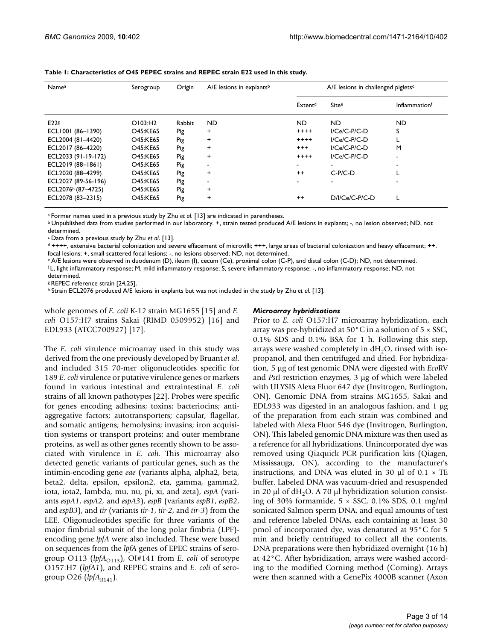| <b>Namea</b>                   | Serogroup | Origin | $A/E$ lesions in explants <sup>b</sup> | A/E lesions in challenged piglets <sup>c</sup> |                  |                                  |  |  |
|--------------------------------|-----------|--------|----------------------------------------|------------------------------------------------|------------------|----------------------------------|--|--|
|                                |           |        |                                        | Extent <sup>d</sup>                            | Sitee            | <b>Inflammation</b> <sup>f</sup> |  |  |
| E22s                           | O103:H2   | Rabbit | ND.                                    | ND.<br>ND.                                     |                  | <b>ND</b>                        |  |  |
| ECLI001 (86-1390)              | O45:KE65  | Pig    | $\ddot{}$                              | $I/Ce/C-P/C-D$                                 | S                |                                  |  |  |
| ECL2004 (81-4420)              | O45:KE65  | Pig    | $\ddot{}$                              | $++++$                                         | $I/Ce/C-PIC-D$   |                                  |  |  |
| ECL2017 (86-4220)              | O45:KE65  | Pig    | $\ddot{}$                              | $^{+++}$                                       | $I/Ce/C-PIC-D$   | M                                |  |  |
| ECL2033 (91-19-172)            | O45:KE65  | Pig    | $\ddot{}$                              | $++++$                                         | $I/Ce/C-PIC-D$   |                                  |  |  |
| ECL2019 (88-1861)              | O45:KE65  | Pig    |                                        |                                                |                  |                                  |  |  |
| ECL2020 (88-4299)              | O45:KE65  | Pig    | $\ddot{}$                              | $++$                                           | $C-P/C-D$        |                                  |  |  |
| ECL2027 (89-56-196)            | O45:KE65  | Pig    |                                        |                                                |                  |                                  |  |  |
| ECL2076 <sup>h</sup> (87-4725) | O45:KE65  | Pig    | $\ddot{}$                              |                                                |                  |                                  |  |  |
| ECL2078 (83-2315)              | O45:KE65  | Pig    | $\ddot{}$                              | $^{++}$                                        | $D/I/Ce/C-PIC-D$ |                                  |  |  |

**Table 1: Characteristics of O45 PEPEC strains and REPEC strain E22 used in this study.**

a Former names used in a previous study by Zhu *et al*. [13] are indicated in parentheses.

b Unpublished data from studies performed in our laboratory. +, strain tested produced A/E lesions in explants; -, no lesion observed; ND, not determined.

c Data from a previous study by Zhu *et al*. [13].

d ++++, extensive bacterial colonization and severe effacement of microvilli; +++, large areas of bacterial colonization and heavy effacement; ++, focal lesions; +, small scattered focal lesions; -, no lesions observed; ND, not determined.

e A/E lesions were observed in duodenum (D), ileum (I), cecum (Ce), proximal colon (C-P), and distal colon (C-D); ND, not determined.

f L, light inflammatory response; M, mild inflammatory response; S, severe inflammatory response; -, no inflammatory response; ND, not determined.

g REPEC reference strain [24,25].

h Strain ECL2076 produced A/E lesions in explants but was not included in the study by Zhu *et al*. [13].

whole genomes of *E. coli* K-12 strain MG1655 [15] and *E. coli* O157:H7 strains Sakai (RIMD 0509952) [16] and EDL933 (ATCC700927) [17].

#### *Microarray hybridizations*

The *E. coli* virulence microarray used in this study was derived from the one previously developed by Bruant *et al*. and included 315 70-mer oligonucleotides specific for 189 *E. coli* virulence or putative virulence genes or markers found in various intestinal and extraintestinal *E. coli* strains of all known pathotypes [22]. Probes were specific for genes encoding adhesins; toxins; bacteriocins; antiaggregative factors; autotransporters; capsular, flagellar, and somatic antigens; hemolysins; invasins; iron acquisition systems or transport proteins; and outer membrane proteins, as well as other genes recently shown to be associated with virulence in *E. coli*. This microarray also detected genetic variants of particular genes, such as the intimin-encoding gene *eae* (variants alpha, alpha2, beta, beta2, delta, epsilon, epsilon2, eta, gamma, gamma2, iota, iota2, lambda, mu, nu, pi, xi, and zeta), *espA* (variants *espA1*, *espA2*, and *espA3*), *espB* (variants *espB1*, *espB2*, and *espB3*), and *tir* (variants *tir-1*, *tir-2*, and *tir-3*) from the LEE. Oligonucleotides specific for three variants of the major fimbrial subunit of the long polar fimbria (LPF) encoding gene *lpfA* were also included. These were based on sequences from the *lpfA* genes of EPEC strains of serogroup O113 (lpfA<sub>O113</sub>), OI#141 from *E. coli* of serotype O157:H7 (*lpfA1*), and REPEC strains and *E. coli* of serogroup O26 ( $lpfA_{R141}$ ).

Prior to *E. coli* O157:H7 microarray hybridization, each array was pre-hybridized at  $50^{\circ}$ C in a solution of  $5 \times$  SSC, 0.1% SDS and 0.1% BSA for 1 h. Following this step, arrays were washed completely in  $dH_2O$ , rinsed with isopropanol, and then centrifuged and dried. For hybridization, 5 μg of test genomic DNA were digested with *Eco*RV and *Pst*I restriction enzymes, 3 μg of which were labeled with ULYSIS Alexa Fluor 647 dye (Invitrogen, Burlington, ON). Genomic DNA from strains MG1655, Sakai and EDL933 was digested in an analogous fashion, and 1 μg of the preparation from each strain was combined and labeled with Alexa Fluor 546 dye (Invitrogen, Burlington, ON). This labeled genomic DNA mixture was then used as a reference for all hybridizations. Unincorporated dye was removed using Qiaquick PCR purification kits (Qiagen, Mississauga, ON), according to the manufacturer's instructions, and DNA was eluted in 30  $\mu$ l of 0.1  $\times$  TE buffer. Labeled DNA was vacuum-dried and resuspended in 20  $\mu$ l of dH<sub>2</sub>O. A 70  $\mu$ l hybridization solution consisting of 30% formamide,  $5 \times$  SSC, 0.1% SDS, 0.1 mg/ml sonicated Salmon sperm DNA, and equal amounts of test and reference labeled DNAs, each containing at least 30 pmol of incorporated dye, was denatured at 95°C for 5 min and briefly centrifuged to collect all the contents. DNA preparations were then hybridized overnight (16 h) at 42°C. After hybridization, arrays were washed according to the modified Corning method (Corning). Arrays were then scanned with a GenePix 4000B scanner (Axon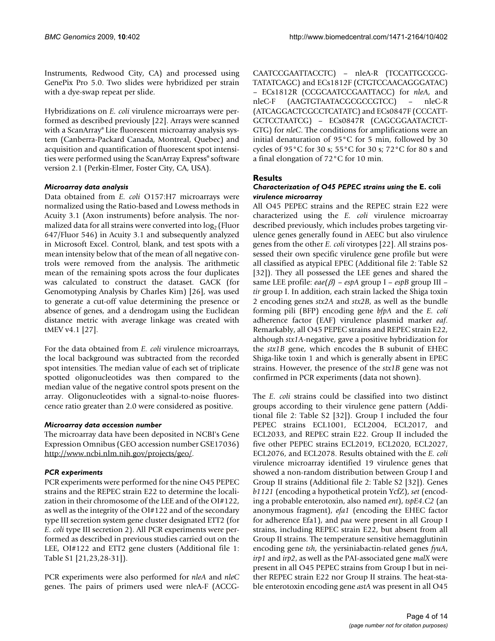Instruments, Redwood City, CA) and processed using GenePix Pro 5.0. Two slides were hybridized per strain with a dye-swap repeat per slide.

Hybridizations on *E. coli* virulence microarrays were performed as described previously [22]. Arrays were scanned with a ScanArray® Lite fluorescent microarray analysis system (Canberra-Packard Canada, Montreal, Quebec) and acquisition and quantification of fluorescent spot intensities were performed using the ScanArray Express® software version 2.1 (Perkin-Elmer, Foster City, CA, USA).

#### *Microarray data analysis*

Data obtained from *E. coli* O157:H7 microarrays were normalized using the Ratio-based and Lowess methods in Acuity 3.1 (Axon instruments) before analysis. The normalized data for all strains were converted into  $log<sub>2</sub>$  (Fluor 647/Fluor 546) in Acuity 3.1 and subsequently analyzed in Microsoft Excel. Control, blank, and test spots with a mean intensity below that of the mean of all negative controls were removed from the analysis. The arithmetic mean of the remaining spots across the four duplicates was calculated to construct the dataset. GACK (for Genomotyping Analysis by Charles Kim) [26], was used to generate a cut-off value determining the presence or absence of genes, and a dendrogam using the Euclidean distance metric with average linkage was created with tMEV v4.1 [27].

For the data obtained from *E. coli* virulence microarrays, the local background was subtracted from the recorded spot intensities. The median value of each set of triplicate spotted oligonucleotides was then compared to the median value of the negative control spots present on the array. Oligonucleotides with a signal-to-noise fluorescence ratio greater than 2.0 were considered as positive.

#### *Microarray data accession number*

The microarray data have been deposited in NCBI's Gene Expression Omnibus (GEO accession number GSE17036) [http://www.ncbi.nlm.nih.gov/projects/geo/.](http://www.ncbi.nlm.nih.gov/projects/geo/)

### *PCR experiments*

PCR experiments were performed for the nine O45 PEPEC strains and the REPEC strain E22 to determine the localization in their chromosome of the LEE and of the OI#122, as well as the integrity of the OI#122 and of the secondary type III secretion system gene cluster designated ETT2 (for *E. coli* type III secretion 2). All PCR experiments were performed as described in previous studies carried out on the LEE, OI#122 and ETT2 gene clusters (Additional file 1: Table S1 [21,23,28-31]).

PCR experiments were also performed for *nleA* and *nleC* genes. The pairs of primers used were nleA-F (ACCG- CAATCCGAATTACCTC) – nleA-R (TCCATTGCGCG-TATATCAGC) and ECs1812F (CTGTCCAACAGGGATAC) – ECs1812R (CCGCAATCCGAATTACC) for *nleA*, and nleC-F (AAGTGTAATACGCGCCGTCC) – nleC-R (ATCAGGACTCGCCTCATATC) and ECs0847F (CCCATT-GCTCCTAATCG) – ECs0847R (CAGCGGAATACTCT-GTG) for *nleC*. The conditions for amplifications were an initial denaturation of 95°C for 5 min, followed by 30 cycles of 95°C for 30 s; 55°C for 30 s; 72°C for 80 s and a final elongation of 72°C for 10 min.

### **Results**

#### *Characterization of O45 PEPEC strains using the* **E. coli**  *virulence microarray*

All O45 PEPEC strains and the REPEC strain E22 were characterized using the *E. coli* virulence microarray described previously, which includes probes targeting virulence genes generally found in AEEC but also virulence genes from the other *E. coli* virotypes [22]. All strains possessed their own specific virulence gene profile but were all classified as atypical EPEC (Additional file 2: Table S2 [32]). They all possessed the LEE genes and shared the same LEE profile: *eae(*β*)* – *espA* group I – *espB* group III – *tir* group I. In addition, each strain lacked the Shiga toxin 2 encoding genes *stx2A* and *stx2B*, as well as the bundle forming pili (BFP) encoding gene *bfpA* and the *E. coli* adherence factor (EAF) virulence plasmid marker *eaf*. Remarkably, all O45 PEPEC strains and REPEC strain E22, although *stx1A*-negative, gave a positive hybridization for the *stx1B* gene, which encodes the B subunit of EHEC Shiga-like toxin 1 and which is generally absent in EPEC strains. However, the presence of the *stx1B* gene was not confirmed in PCR experiments (data not shown).

The *E. coli* strains could be classified into two distinct groups according to their virulence gene pattern (Additional file 2: Table S2 [32]). Group I included the four PEPEC strains ECL1001, ECL2004, ECL2017, and ECL2033, and REPEC strain E22. Group II included the five other PEPEC strains ECL2019, ECL2020, ECL2027, ECL2076, and ECL2078. Results obtained with the *E. coli* virulence microarray identified 19 virulence genes that showed a non-random distribution between Group I and Group II strains (Additional file 2: Table S2 [32]). Genes *b1121* (encoding a hypothetical protein YcfZ), *set* (encoding a probable enterotoxin, also named *ent*), *tspE4.C2* (an anonymous fragment), *efa1* (encoding the EHEC factor for adherence Efa1), and *paa* were present in all Group I strains, including REPEC strain E22, but absent from all Group II strains. The temperature sensitive hemagglutinin encoding gene *tsh*, the yersiniabactin-related genes *fyuA*, *irp1* and *irp2*, as well as the PAI-associated gene *malX* were present in all O45 PEPEC strains from Group I but in neither REPEC strain E22 nor Group II strains. The heat-stable enterotoxin encoding gene *astA* was present in all O45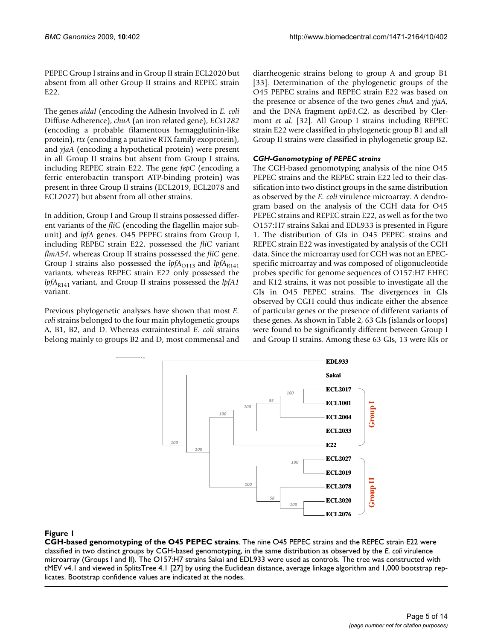PEPEC Group I strains and in Group II strain ECL2020 but absent from all other Group II strains and REPEC strain E<sub>22</sub>.

The genes *aidaI* (encoding the Adhesin Involved in *E. coli* Diffuse Adherence), *chuA* (an iron related gene), *ECs1282* (encoding a probable filamentous hemagglutinin-like protein), *rtx* (encoding a putative RTX family exoprotein), and *yjaA* (encoding a hypothetical protein) were present in all Group II strains but absent from Group I strains, including REPEC strain E22. The gene *fepC* (encoding a ferric enterobactin transport ATP-binding protein) was present in three Group II strains (ECL2019, ECL2078 and ECL2027) but absent from all other strains.

In addition, Group I and Group II strains possessed different variants of the *fliC* (encoding the flagellin major subunit) and *lpfA* genes. O45 PEPEC strains from Group I, including REPEC strain E22, possessed the *fliC* variant *flmA54*, whereas Group II strains possessed the *fliC* gene. Group I strains also possessed the  $lpfA_{O113}$  and  $lpfA_{R141}$ variants, whereas REPEC strain E22 only possessed the *lpfA*<sub>R141</sub> variant, and Group II strains possessed the *lpfA1* variant.

Previous phylogenetic analyses have shown that most *E. coli* strains belonged to the four main phylogenetic groups A, B1, B2, and D. Whereas extraintestinal *E. coli* strains belong mainly to groups B2 and D, most commensal and

diarrheogenic strains belong to group A and group B1 [33]. Determination of the phylogenetic groups of the O45 PEPEC strains and REPEC strain E22 was based on the presence or absence of the two genes *chuA* and *yjaA*, and the DNA fragment *tspE4.C2*, as described by Clermont *et al*. [32]. All Group I strains including REPEC strain E22 were classified in phylogenetic group B1 and all Group II strains were classified in phylogenetic group B2.

# *CGH-Genomotyping of PEPEC strains*

The CGH-based genomotyping analysis of the nine O45 PEPEC strains and the REPEC strain E22 led to their classification into two distinct groups in the same distribution as observed by the *E. coli* virulence microarray. A dendrogram based on the analysis of the CGH data for O45 PEPEC strains and REPEC strain E22, as well as for the two O157:H7 strains Sakai and EDL933 is presented in Figure 1. The distribution of GIs in O45 PEPEC strains and REPEC strain E22 was investigated by analysis of the CGH data. Since the microarray used for CGH was not an EPECspecific microarray and was composed of oligonucleotide probes specific for genome sequences of O157:H7 EHEC and K12 strains, it was not possible to investigate all the GIs in O45 PEPEC strains. The divergences in GIs observed by CGH could thus indicate either the absence of particular genes or the presence of different variants of these genes. As shown in Table 2, 63 GIs (islands or loops) were found to be significantly different between Group I and Group II strains. Among these 63 GIs, 13 were KIs or



### Figure 1

**CGH-based genomotyping of the O45 PEPEC strains**. The nine O45 PEPEC strains and the REPEC strain E22 were classified in two distinct groups by CGH-based genomotyping, in the same distribution as observed by the *E. coli* virulence microarray (Groups I and II). The O157:H7 strains Sakai and EDL933 were used as controls. The tree was constructed with tMEV v4.1 and viewed in SplitsTree 4.1 [27] by using the Euclidean distance, average linkage algorithm and 1,000 bootstrap rep-Example 2020<br>
Figure 1<br>
CGH-based genomotyping of the O45 PEPEC strains. The nine O45 PEPEC strains and the REP<br>
classified in two distinct groups by CGH-based genomotyping, in the same distribution as observed by t<br>
micro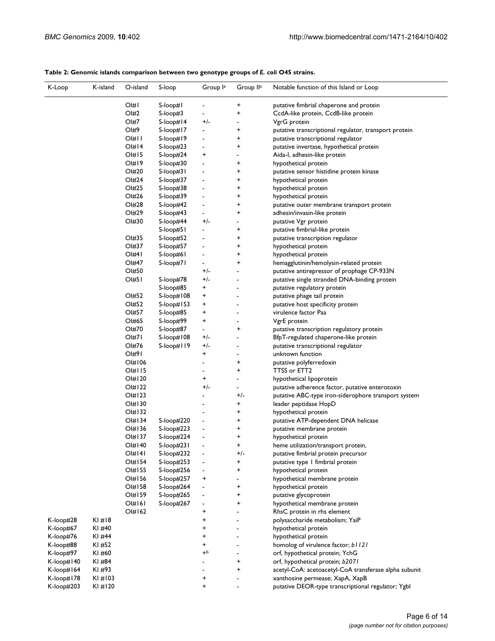#### K-Loop K-island O-island S-loop Group l<sup>a</sup> Group Il<sup>a</sup> Notable function of this Island or Loop OI#1 S-loop#1 - + putative fimbrial chaperone and protein OI#2 S-loop#3 - + CcdA-like protein, CcdB-like protein OI#7 S-loop#14 +/- - VgrG protein OI#9 S-loop#17 - + putative transcriptional regulator, transport protein OI#11 S-loop#19 - + putative transcriptional regulator<br>OI#14 S-loop#23 - + putative invertase, hypothetical p OI#14 S-loop#23 - + putative invertase, hypothetical protein<br>OI#15 S-loop#24 + - Aida-I, adhesin-like protein S-loop#24 + - - Aida-I, adhesin-like protein OI#19 S-loop#30 - + hypothetical protein OI#20 S-loop#31 - + putative sensor histidine protein kinase OI#24 S-loop#37 - + hypothetical protein OI#25 S-loop#38 - + hypothetical protein OI#26 S-loop#39 - + hypothetical protein OI#28 S-loop#42 - + putative outer membrane transport protein OI#29 S-loop#43 - + adhesin/invasin-like protein OI#30 S-loop#44 +/-<br>S-loop#51 - + putative fimbrial-like S-loop#51 - + putative fimbrial-like protein OI#35 S-loop#52 - + putative transcription regulator<br>OI#37 S-loop#57 - + hypothetical protein OI#37 S-loop#57 - + hypothetical protein<br>OI#41 S-loop#61 - + hypothetical protein OI#41 S-loop#61 - + hypothetical protein OI#47 S-loop#71 - + hemagglutinin/hemolysin-related protein OI#50 +/- - putative antirepressor of prophage CP-933N OI#51 S-loop#78 +/- - - putative single stranded DNA-binding protein S-loop#85 + - - putative regulatory protein OI#52 S-loop#108 + - putative phage tail protein OI#52 S-loop#153 + - putative host specificity protein<br>OI#57 S-loop#85 + - virulence factor Paa OI#57 S-loop#85 + - virulence factor Paa OI#65 S-loop#99 + - - VgrE protein<br>OI#70 S-loop#87 - + - putative trans OI#70 S-loop#87 - + putative transcription regulatory protein OI#71 S-loop#108 +/- - BfpT-regulated chaperone-like protein OI#76 S-loop#119 +/-<br>
putative transcriptional regulator OI#91 + - unknown function OI#106 - + putative polyferredoxin OI#115 - + TTSS or ETT2<br>OI#120 + - hypothetical lip - hypothetical lipoprotein OI#122  $+/-$  - putative adherence factor, putative enterotoxin<br>OI#123 - + +/- putative ABC-type iron-siderophore transport s OI#123 - +/- putative ABC-type iron-siderophore transport system OI#130 - + leader peptidase HopD OI#132 - + hypothetical protein OI#134 S-loop#220 - + putative ATP-dependent DNA helicase<br>OI#136 S-loop#223 - + putative membrane protein OI#136 S-loop#223 - + putative membrane protein OI#137 S-loop#224 - + hypothetical protein<br>OI#140 S-loop#231 - + heme utilization/tran OI#140 S-loop#231 - + heme utilization/transport protein,<br>OI#141 S-loop#232 - +/- putative fimbrial protein precursor putative fimbrial protein precursor OI#154 S-loop#253 - + putative type 1 fimbrial protein OI#155 S-loop#256 - + hypothetical protein OI#156 S-loop#257 + - hypothetical membrane protein OI#158 S-loop#264 - + hypothetical protein OI#159 S-loop#265 - + putative glycoprotein<br>OI#161 S-loop#267 - + hypothetical membrai OI#161 S-loop#267 - + hypothetical membrane protein OI#162 + - RhsC protein in rhs element<br>+ - - polysaccharide metabolism: 1 K-loop#28 KI #18 + - - polysaccharide metabolism; YaiP K-loop#67 KI #40 + + hypothetical protein K-loop#76 KI #44 + + + + + hypothetical protein K-loop#88 KI #52 + - homolog of virulence factor; *b1121*<br>K-loop#97 KI #60 + + + + + + + + + + orf. hypothetical protein: YchG K-loop#97 KI #60 +b +b - orf, hypothetical protein; YchG K-loop#140 KI #84 - + orf, hypothetical protein; *b2071*<br>K-loop#164 KI #93 - + aretyl-CoA: aretygenetyl-CoA tr K-loop#164 KI #93 - + acetyl-CoA: acetoacetyl-CoA transferase alpha subunit<br>K-loop#178 KI #103 + + acetoacetyl-CoA: acetoacetyl-CoA transferase alpha subunit K-loop#178 KI #103 + - xanthosine permease; XapA, XapB

K-loop#203 KI #120 + - putative DEOR-type transcriptional regulator; YgbI

#### **Table 2: Genomic islands comparison between two genotype groups of** *E. coli* **O45 strains.**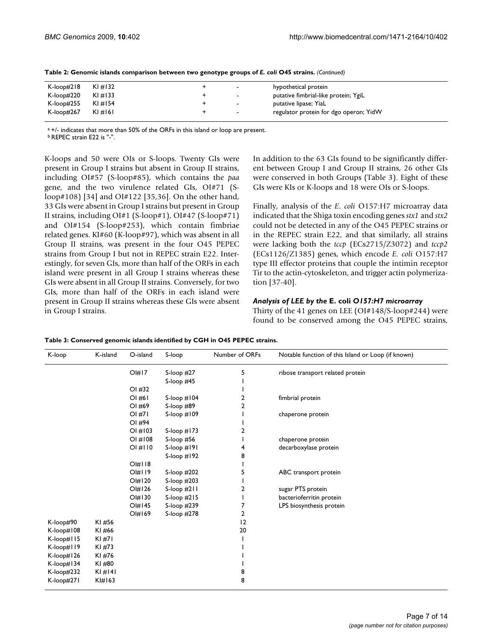| K-loop#218 | $K1 \# 132$ | $\overline{\phantom{a}}$ | hypothetical protein                   |
|------------|-------------|--------------------------|----------------------------------------|
| K-loop#220 | $K1 \# 133$ | $\overline{\phantom{a}}$ | putative fimbrial-like protein; YgiL   |
| K-loop#255 | KI#154      | $\sim$                   | putative lipase; YiaL                  |
| K-loop#267 | $K1 \# 161$ | $\sim$                   | regulator protein for dgo operon; YidW |

**Table 2: Genomic islands comparison between two genotype groups of** *E. coli* **O45 strains.** *(Continued)*

a +/- indicates that more than 50% of the ORFs in this island or loop are present.

b REPEC strain E22 is "-".

K-loops and 50 were OIs or S-loops. Twenty GIs were present in Group I strains but absent in Group II strains, including OI#57 (S-loop#85), which contains the *paa* gene, and the two virulence related GIs, OI#71 (Sloop#108) [34] and OI#122 [35,36]. On the other hand, 33 GIs were absent in Group I strains but present in Group II strains, including OI#1 (S-loop#1), OI#47 (S-loop#71) and OI#154 (S-loop#253), which contain fimbriae related genes. KI#60 (K-loop#97), which was absent in all Group II strains, was present in the four O45 PEPEC strains from Group I but not in REPEC strain E22. Interestingly, for seven GIs, more than half of the ORFs in each island were present in all Group I strains whereas these GIs were absent in all Group II strains. Conversely, for two GIs, more than half of the ORFs in each island were present in Group II strains whereas these GIs were absent in Group I strains.

In addition to the 63 GIs found to be significantly different between Group I and Group II strains, 26 other GIs were conserved in both Groups (Table 3). Eight of these GIs were KIs or K-loops and 18 were OIs or S-loops.

Finally, analysis of the *E. coli* O157:H7 microarray data indicated that the Shiga toxin encoding genes *stx1* and *stx2* could not be detected in any of the O45 PEPEC strains or in the REPEC strain E22, and that similarly, all strains were lacking both the *tccp* (ECs2715/Z3072) and *tccp2* (ECs1126/Z1385) genes, which encode *E. coli* O157:H7 type III effector proteins that couple the intimin receptor Tir to the actin-cytoskeleton, and trigger actin polymerization [37-40].

#### *Analysis of LEE by the* **E. coli** *O157:H7 microarray*

Thirty of the 41 genes on LEE (OI#148/S-loop#244) were found to be conserved among the O45 PEPEC strains,

| K-loop     | K-island    | O-island          | S-loop           | Number of ORFs | Notable function of this Island or Loop (if known) |
|------------|-------------|-------------------|------------------|----------------|----------------------------------------------------|
|            |             | O #17             | S-loop #27       | 5              | ribose transport related protein                   |
|            |             |                   | S-loop $#45$     |                |                                                    |
|            |             | $OI$ #32          |                  |                |                                                    |
|            |             | $OI$ #6           | S-loop $#104$    | 2              | fimbrial protein                                   |
|            |             | OI #69            | S-loop $#89$     | 2              |                                                    |
|            |             | $OI$ #71          | S-loop $#109$    |                | chaperone protein                                  |
|            |             | OI #94            |                  |                |                                                    |
|            |             | OI#103            | S-loop $#173$    | 2              |                                                    |
|            |             | OI#108            | S-loop $#56$     |                | chaperone protein                                  |
|            |             | OI#IIO            | $S$ -loop $#191$ |                | decarboxylase protein                              |
|            |             |                   | S-loop #192      | 8              |                                                    |
|            |             | $O$ #118          |                  |                |                                                    |
|            |             | $O$ #119          | S-loop $#202$    | 5              | ABC transport protein                              |
|            |             | $O$ #120          | S-loop $#203$    |                |                                                    |
|            |             | O <sub>#126</sub> | S-loop $#211$    | 2              | sugar PTS protein                                  |
|            |             | O #130            | S-loop $#215$    |                | bacterioferritin protein                           |
|            |             | O <sub>#145</sub> | S-loop #239      | 7              | LPS biosynthesis protein                           |
|            |             | O <sub>#169</sub> | S-loop #278      | 2              |                                                    |
| K-loop#90  | KI#56       |                   |                  | 12             |                                                    |
| K-loop#108 | KI#66       |                   |                  | 20             |                                                    |
| K-loop#115 | K1#71       |                   |                  |                |                                                    |
| K-loop#119 | KI#73       |                   |                  |                |                                                    |
| K-loop#126 | KI#76       |                   |                  |                |                                                    |
| K-loop#134 | KI#80       |                   |                  |                |                                                    |
| K-loop#232 | $K1 \# 141$ |                   |                  | 8              |                                                    |
| K-loop#271 | $K$ # $163$ |                   |                  | 8              |                                                    |

**Table 3: Conserved genomic islands identified by CGH in O45 PEPEC strains.**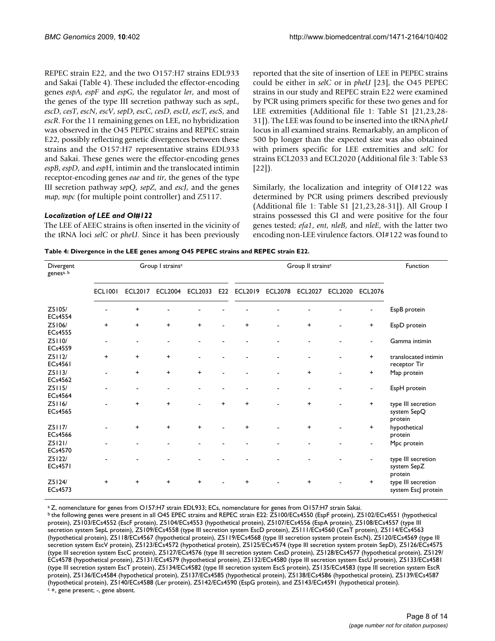REPEC strain E22, and the two O157:H7 strains EDL933 and Sakai (Table 4). These included the effector-encoding genes *espA*, *espF* and *espG*, the regulator *ler*, and most of the genes of the type III secretion pathway such as *sepL*, *escD*, *cesT*, *escN*, *escV*, *sepD*, *escC*, *cesD*, *escU*, *escT*, *escS*, and *escR*. For the 11 remaining genes on LEE, no hybridization was observed in the O45 PEPEC strains and REPEC strain E22, possibly reflecting genetic divergences between these strains and the O157:H7 representative strains EDL933 and Sakai. These genes were the effector-encoding genes *espB*, *espD*, and *esp*H, intimin and the translocated intimin receptor-encoding genes *eae* and *tir*, the genes of the type III secretion pathway *sepQ*, *sepZ*, and *escJ*, and the genes *map*, *mpc* (for multiple point controller) and Z5117.

### *Localization of LEE and OI#122*

The LEE of AEEC strains is often inserted in the vicinity of the tRNA loci *selC* or *pheU*. Since it has been previously reported that the site of insertion of LEE in PEPEC strains could be either in *selC* or in *pheU* [23], the O45 PEPEC strains in our study and REPEC strain E22 were examined by PCR using primers specific for these two genes and for LEE extremities (Additional file 1: Table S1 [21,23,28- 31]). The LEE was found to be inserted into the tRNA *pheU* locus in all examined strains. Remarkably, an amplicon of 500 bp longer than the expected size was also obtained with primers specific for LEE extremities and *selC* for strains ECL2033 and ECL2020 (Additional file 3: Table S3 [22]).

Similarly, the localization and integrity of OI#122 was determined by PCR using primers described previously (Additional file 1: Table S1 [21,23,28-31]). All Group I strains possessed this GI and were positive for the four genes tested; *efa1*, *ent*, *nleB*, and *nleE*, with the latter two encoding non-LEE virulence factors. OI#122 was found to

|  |  | Table 4: Divergence in the LEE genes among 045 PEPEC strains and REPEC strain E22. |
|--|--|------------------------------------------------------------------------------------|
|  |  |                                                                                    |

| Divergent<br>genesa, b   |                | Group I strains <sup>c</sup> |                | Group II strains <sup>c</sup> | Function  |                |                |                |                |                |                                              |  |
|--------------------------|----------------|------------------------------|----------------|-------------------------------|-----------|----------------|----------------|----------------|----------------|----------------|----------------------------------------------|--|
|                          | <b>ECL1001</b> | <b>ECL2017</b>               | <b>ECL2004</b> | <b>ECL2033</b>                | E22       | <b>ECL2019</b> | <b>ECL2078</b> | <b>ECL2027</b> | <b>ECL2020</b> | <b>ECL2076</b> |                                              |  |
| Z5105/<br><b>ECs4554</b> |                | $\ddot{}$                    |                |                               |           |                |                |                |                |                | EspB protein                                 |  |
| Z5106/<br><b>ECs4555</b> | $\ddot{}$      | $\ddot{}$                    | $\ddot{}$      | $\ddot{}$                     |           | $\ddot{}$      |                | +              |                | $\ddot{}$      | EspD protein                                 |  |
| Z5110/<br><b>ECs4559</b> |                |                              |                |                               |           |                |                |                |                |                | Gamma intimin                                |  |
| Z5112/<br><b>ECs4561</b> | $\ddot{}$      | $\ddot{}$                    | $\ddot{}$      |                               |           |                |                |                |                | $\ddot{}$      | translocated intimin<br>receptor Tir         |  |
| Z5113/<br><b>ECs4562</b> |                | $\ddot{}$                    | $\ddot{}$      | $\ddot{}$                     |           |                |                | +              |                | $\ddot{}$      | Map protein                                  |  |
| Z5115/<br><b>ECs4564</b> |                |                              |                |                               |           |                |                |                |                | ٠              | EspH protein                                 |  |
| Z5116/<br><b>ECs4565</b> |                | $\ddot{}$                    | $\ddot{}$      |                               | $\ddot{}$ | $\ddot{}$      |                | $\ddot{}$      |                | $\ddot{}$      | type III secretion<br>system SepQ<br>protein |  |
| Z5117/<br><b>ECs4566</b> |                | $\ddot{}$                    | $\ddot{}$      | $\ddot{}$                     |           | $\ddot{}$      |                | +              |                | $\ddot{}$      | hypothetical<br>protein                      |  |
| Z5121/<br><b>ECs4570</b> |                |                              |                |                               |           |                |                |                |                |                | Mpc protein                                  |  |
| Z5122/<br><b>ECs4571</b> |                |                              |                |                               |           |                |                |                |                |                | type III secretion<br>system SepZ<br>protein |  |
| Z5124/<br>ECs4573        | $\ddot{}$      | $\ddot{}$                    | $\ddot{}$      | $\ddot{}$                     |           | $\ddot{}$      |                | $\ddot{}$      |                | $\ddot{}$      | type III secretion<br>system EscJ protein    |  |

a Z, nomenclature for genes from O157:H7 strain EDL933; ECs, nomenclature for genes from O157:H7 strain Sakai.

b the following genes were present in all O45 EPEC strains and REPEC strain E22: Z5100/ECs4550 (EspF protein), Z5102/ECs4551 (hypothetical protein), Z5103/ECs4552 (EscF protein), Z5104/ECs4553 (hypothetical protein), Z5107/ECs4556 (EspA protein), Z5108/ECs4557 (type III secretion system SepL protein), Z5109/ECs4558 (type III secretion system EscD protein), Z5111/ECs4560 (CesT protein), Z5114/ECs4563 (hypothetical protein), Z5118/ECs4567 (hypothetical protein), Z5119/ECs4568 (type III secretion system protein EscN), Z5120/ECs4569 (type III secretion system EscV protein), Z5123/ECs4572 (hypothetical protein), Z5125/ECs4574 (type III secretion system protein SepD), Z5126/ECs4575 (type III secretion system EscC protein), Z5127/ECs4576 (type III secretion system CesD protein), Z5128/ECs4577 (hypothetical protein), Z5129/ ECs4578 (hypothetical protein), Z5131/ECs4579 (hypothetical protein), Z5132/ECs4580 (type III secretion system EscU protein), Z5133/ECs4581 (type III secretion system EscT protein), Z5134/ECs4582 (type III secretion system EscS protein), Z5135/ECs4583 (type III secretion system EscR protein), Z5136/ECs4584 (hypothetical protein), Z5137/ECs4585 (hypothetical protein), Z5138/ECs4586 (hypothetical protein), Z5139/ECs4587 (hypothetical protein), Z5140/ECs4588 (Ler protein), Z5142/ECs4590 (EspG protein), and Z5143/ECs4591 (hypothetical protein). c +, gene present; -, gene absent.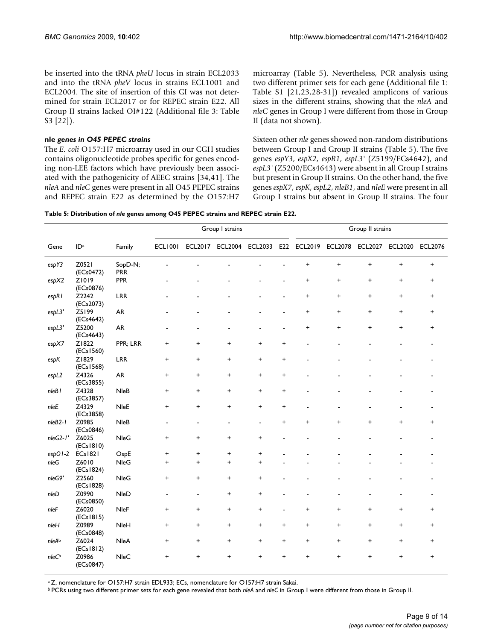be inserted into the tRNA *pheU* locus in strain ECL2033 and into the tRNA *pheV* locus in strains ECL1001 and ECL2004. The site of insertion of this GI was not determined for strain ECL2017 or for REPEC strain E22. All Group II strains lacked OI#122 (Additional file 3: Table S3 [22]).

#### **nle** *genes in O45 PEPEC strains*

The *E. coli* O157:H7 microarray used in our CGH studies contains oligonucleotide probes specific for genes encoding non-LEE factors which have previously been associated with the pathogenicity of AEEC strains [34,41]. The *nleA* and *nleC* genes were present in all O45 PEPEC strains and REPEC strain E22 as determined by the O157:H7

microarray (Table 5). Nevertheless, PCR analysis using two different primer sets for each gene (Additional file 1: Table S1 [21,23,28-31]) revealed amplicons of various sizes in the different strains, showing that the *nleA* and *nleC* genes in Group I were different from those in Group II (data not shown).

Sixteen other *nle* genes showed non-random distributions between Group I and Group II strains (Table 5). The five genes *espY3*, *espX2*, *espR1*, *espL3'* (Z5199/ECs4642), and *espL3'* (Z5200/ECs4643) were absent in all Group I strains but present in Group II strains. On the other hand, the five genes *espX7*, *espK*, *espL2*, *nleB1*, and *nleE* were present in all Group I strains but absent in Group II strains. The four

**Table 5: Distribution of** *nle* **genes among O45 PEPEC strains and REPEC strain E22.**

|                   |                     |                       | Group I strains          |                |                 |                          |                | Group II strains |                                  |                                  |                                  |                                  |  |
|-------------------|---------------------|-----------------------|--------------------------|----------------|-----------------|--------------------------|----------------|------------------|----------------------------------|----------------------------------|----------------------------------|----------------------------------|--|
| Gene              | ID <sup>a</sup>     | Family                | <b>ECL1001</b>           |                | ECL2017 ECL2004 | <b>ECL2033</b>           |                | E22 ECL2019      | ECL2078 ECL2027                  |                                  | <b>ECL2020</b>                   | <b>ECL2076</b>                   |  |
| espY3             | Z0521<br>(ECs0472)  | SopD-N;<br><b>PRR</b> |                          |                |                 |                          |                | $\ddot{}$        | $\ddot{}$                        | $\ddot{}$                        | $\ddot{}$                        | $\begin{array}{c} + \end{array}$ |  |
| espX2             | Z1019<br>(ECs0876)  | <b>PPR</b>            |                          |                |                 |                          |                | $\ddot{}$        | $\ddot{}$                        | $\pmb{+}$                        | $\ddot{}$                        | $\ddot{}$                        |  |
| espR1             | Z2242<br>(ECs2073)  | <b>LRR</b>            |                          |                |                 |                          |                | $\ddot{}$        | $\ddot{}$                        | $\ddot{}$                        | $\begin{array}{c} + \end{array}$ | $\ddot{}$                        |  |
| espL3'            | Z5199<br>(ECs4642)  | <b>AR</b>             |                          |                |                 |                          |                | +                | $\ddot{}$                        | $\pmb{+}$                        | $\ddot{}$                        | $\ddot{}$                        |  |
| espL3'            | Z5200<br>(ECs4643)  | <b>AR</b>             |                          |                |                 |                          | $\blacksquare$ | $\ddot{}$        | $\begin{array}{c} + \end{array}$ | $\begin{array}{c} + \end{array}$ | $\begin{array}{c} + \end{array}$ | $\ddot{}$                        |  |
| espX7             | Z1822<br>(ECs1560)  | PPR; LRR              | +                        | +              | +               | $\ddot{}$                | +              |                  |                                  |                                  |                                  |                                  |  |
| espK              | Z1829<br>(ECs1568)  | <b>LRR</b>            | $\ddot{}$                | $\ddot{}$      | $\ddot{}$       | $\ddot{}$                | $\ddot{}$      |                  |                                  |                                  |                                  |                                  |  |
| espL2             | Z4326<br>(ECs3855)  | <b>AR</b>             | $\pmb{+}$                | +              | +               | $\ddot{}$                | $\ddot{}$      |                  |                                  |                                  |                                  |                                  |  |
| nleB <sub>I</sub> | Z4328<br>(ECs3857)  | <b>NleB</b>           | $\ddot{}$                | $\ddot{}$      | $\ddot{}$       | $\ddot{}$                | +              |                  |                                  |                                  |                                  |                                  |  |
| nleE              | Z4329<br>(ECs3858)  | <b>NleE</b>           | $\ddot{}$                | $\ddot{}$      | $\ddot{}$       | $\ddot{}$                | $\ddot{}$      |                  |                                  |                                  |                                  |                                  |  |
| nleB2-1           | Z0985<br>(ECs0846)  | <b>NleB</b>           | $\overline{\phantom{a}}$ | $\blacksquare$ | $\blacksquare$  | $\overline{\phantom{a}}$ | $\ddot{}$      | $\ddot{}$        | $\ddot{}$                        | $\ddot{}$                        | $\ddot{}$                        | $\ddot{}$                        |  |
| nleG2-1'          | Z6025<br>(ECs1810)  | <b>NleG</b>           | +                        | +              | +               | +                        |                |                  |                                  |                                  |                                  |                                  |  |
| $\exp$ OI-2       | ECs1821             | O <sub>SP</sub> E     | $\ddot{}$                | +              | +               | $\ddot{}$                |                |                  |                                  |                                  |                                  |                                  |  |
| nleG              | Z6010<br>(ECs 1824) | <b>NleG</b>           | +                        | $\ddot{}$      | $\ddot{}$       | $\ddot{}$                |                |                  |                                  |                                  |                                  |                                  |  |
| nleG9'            | Z2560<br>(ECs 1828) | <b>NleG</b>           | +                        | $\ddot{}$      | $\ddot{}$       | $\ddot{}$                |                |                  |                                  |                                  |                                  |                                  |  |
| nleD              | Z0990<br>(ECs0850)  | NleD                  | $\blacksquare$           | $\overline{a}$ | +               | +                        |                |                  |                                  |                                  |                                  |                                  |  |
| nleF              | Z6020<br>(ECs1815)  | <b>NleF</b>           | +                        | +              | +               | $\ddot{}$                |                | $\pmb{+}$        | +                                | $\ddot{}$                        | $\ddot{}$                        | $\ddot{}$                        |  |
| $n$ le $H$        | Z0989<br>(ECs0848)  | NleH                  | +                        | +              | +               | $\ddot{}$                | $\ddot{}$      | $\ddot{}$        | $\ddot{}$                        | $\ddot{}$                        | $\ddot{}$                        | $\ddot{}$                        |  |
| nleAb             | Z6024<br>(ECs1812)  | <b>NleA</b>           | $\ddot{}$                | +              | +               | $\ddot{}$                | $\ddot{}$      | $\ddot{}$        | $\ddot{}$                        | $\ddot{}$                        | $\ddot{}$                        | $\ddot{}$                        |  |
| nleC <sup>b</sup> | Z0986<br>(ECs0847)  | <b>NleC</b>           | +                        | +              | +               | +                        | +              | +                | $\ddot{}$                        | +                                | $\ddot{}$                        | $\ddot{}$                        |  |

<sup>a</sup> Z, nomenclature for O157:H7 strain EDL933; ECs, nomenclature for O157:H7 strain Sakai.

b PCRs using two different primer sets for each gene revealed that both *nleA* and *nleC* in Group I were different from those in Group II.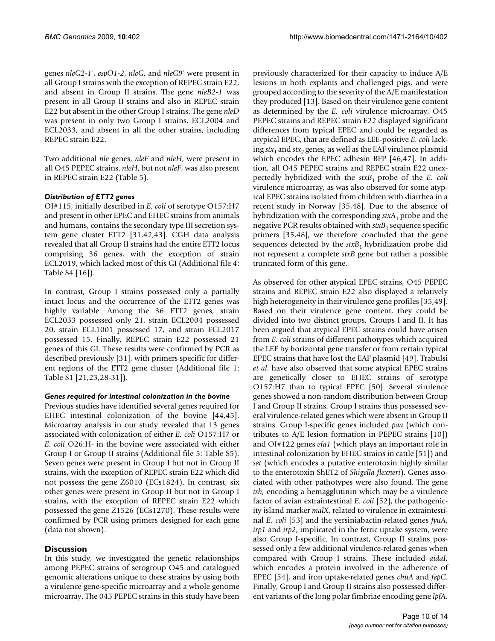genes *nleG2-1'*, *espO1-2*, *nleG*, and *nleG9'* were present in all Group I strains with the exception of REPEC strain E22, and absent in Group II strains. The gene *nleB2-1* was present in all Group II strains and also in REPEC strain E22 but absent in the other Group I strains. The gene *nleD* was present in only two Group I strains, ECL2004 and ECL2033, and absent in all the other strains, including REPEC strain E22.

Two additional *nle* genes, *nleF* and *nleH*, were present in all O45 PEPEC strains. *nleH*, but not *nleF*, was also present in REPEC strain E22 (Table 5).

# *Distribution of ETT2 genes*

OI#115, initially described in *E. coli* of serotype O157:H7 and present in other EPEC and EHEC strains from animals and humans, contains the secondary type III secretion system gene cluster ETT2 [31,42,43]. CGH data analysis revealed that all Group II strains had the entire ETT2 locus comprising 36 genes, with the exception of strain ECL2019, which lacked most of this GI (Additional file 4: Table S4 [16]).

In contrast, Group I strains possessed only a partially intact locus and the occurrence of the ETT2 genes was highly variable. Among the 36 ETT2 genes, strain ECL2033 possessed only 21, strain ECL2004 possessed 20, strain ECL1001 possessed 17, and strain ECL2017 possessed 15. Finally, REPEC strain E22 possessed 21 genes of this GI. These results were confirmed by PCR as described previously [31], with primers specific for different regions of the ETT2 gene cluster (Additional file 1: Table S1 [21,23,28-31]).

### *Genes required for intestinal colonization in the bovine*

Previous studies have identified several genes required for EHEC intestinal colonization of the bovine [44,45]. Microarray analysis in our study revealed that 13 genes associated with colonization of either *E. coli* O157:H7 or *E. coli* O26:H- in the bovine were associated with either Group I or Group II strains (Additional file 5: Table S5). Seven genes were present in Group I but not in Group II strains, with the exception of REPEC strain E22 which did not possess the gene Z6010 (ECs1824). In contrast, six other genes were present in Group II but not in Group I strains, with the exception of REPEC strain E22 which possessed the gene Z1526 (ECs1270). These results were confirmed by PCR using primers designed for each gene (data not shown).

# **Discussion**

In this study, we investigated the genetic relationships among PEPEC strains of serogroup O45 and catalogued genomic alterations unique to these strains by using both a virulence gene-specific microarray and a whole genome microarray. The 045 PEPEC strains in this study have been

previously characterized for their capacity to induce A/E lesions in both explants and challenged pigs, and were grouped according to the severity of the A/E manifestation they produced [13]. Based on their virulence gene content as determined by the *E. coli* virulence microarray, O45 PEPEC strains and REPEC strain E22 displayed significant differences from typical EPEC and could be regarded as atypical EPEC, that are defined as LEE-positive *E. coli* lacking  $stx_1$  and  $stx_2$  genes, as well as the EAF virulence plasmid which encodes the EPEC adhesin BFP [46,47]. In addition, all O45 PEPEC strains and REPEC strain E22 unexpectedly hybridized with the *stxB*1 probe of the *E. coli* virulence microarray, as was also observed for some atypical EPEC strains isolated from children with diarrhea in a recent study in Norway [35,48]. Due to the absence of hybridization with the corresponding *stxA*<sub>1</sub> probe and the negative PCR results obtained with *stxB*1 sequence specific primers [35,48], we therefore concluded that the gene sequences detected by the  $\text{str}B_1$  hybridization probe did not represent a complete *stxB* gene but rather a possible truncated form of this gene.

As observed for other atypical EPEC strains, O45 PEPEC strains and REPEC strain E22 also displayed a relatively high heterogeneity in their virulence gene profiles [35,49]. Based on their virulence gene content, they could be divided into two distinct groups, Groups I and II. It has been argued that atypical EPEC strains could have arisen from *E. coli* strains of different pathotypes which acquired the LEE by horizontal gene transfer or from certain typical EPEC strains that have lost the EAF plasmid [49]. Trabulsi *et al*. have also observed that some atypical EPEC strains are genetically closer to EHEC strains of serotype O157:H7 than to typical EPEC [50]. Several virulence genes showed a non-random distribution between Group I and Group II strains. Group I strains thus possessed several virulence-related genes which were absent in Group II strains. Group I-specific genes included *paa* (which contributes to A/E lesion formation in PEPEC strains [10]) and OI#122 genes *efa1* (which plays an important role in intestinal colonization by EHEC strains in cattle [51]) and *set* (which encodes a putative enterotoxin highly similar to the enterotoxin ShET2 of *Shigella flexneri*). Genes associated with other pathotypes were also found. The gene *tsh*, encoding a hemagglutinin which may be a virulence factor of avian extraintestinal *E. coli* [52], the pathogenicity island marker *malX*, related to virulence in extraintestinal *E. coli* [53] and the yersiniabactin-related genes *fyuA*, *irp1* and *irp2*, implicated in the ferric uptake system, were also Group I-specific. In contrast, Group II strains possessed only a few additional virulence-related genes when compared with Group I strains. These included *aidaI*, which encodes a protein involved in the adherence of EPEC [54], and iron uptake-related genes *chuA* and *fepC*. Finally, Group I and Group II strains also possessed different variants of the long polar fimbriae encoding gene *lpfA*.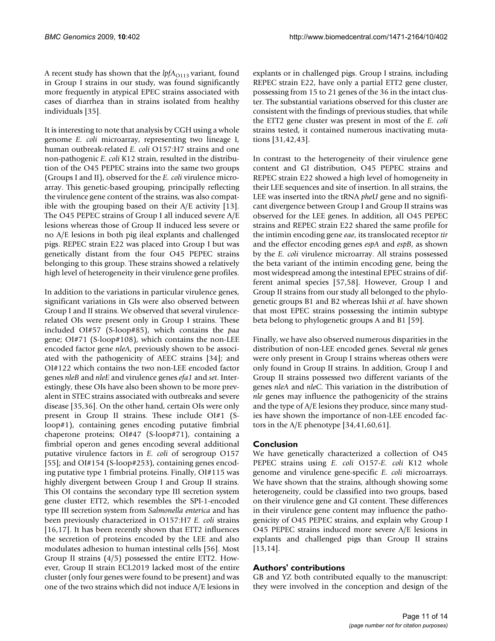A recent study has shown that the *lpfA*<sub>O113</sub> variant, found in Group I strains in our study, was found significantly more frequently in atypical EPEC strains associated with cases of diarrhea than in strains isolated from healthy individuals [35].

It is interesting to note that analysis by CGH using a whole genome *E. coli* microarray, representing two lineage I, human outbreak-related *E. coli* O157:H7 strains and one non-pathogenic *E. coli* K12 strain, resulted in the distribution of the O45 PEPEC strains into the same two groups (Groups I and II), observed for the *E. coli* virulence microarray. This genetic-based grouping, principally reflecting the virulence gene content of the strains, was also compatible with the grouping based on their A/E activity [13]. The O45 PEPEC strains of Group I all induced severe A/E lesions whereas those of Group II induced less severe or no A/E lesions in both pig ileal explants and challenged pigs. REPEC strain E22 was placed into Group I but was genetically distant from the four O45 PEPEC strains belonging to this group. These strains showed a relatively high level of heterogeneity in their virulence gene profiles.

In addition to the variations in particular virulence genes, significant variations in GIs were also observed between Group I and II strains. We observed that several virulencerelated OIs were present only in Group I strains. These included OI#57 (S-loop#85), which contains the *paa* gene; OI#71 (S-loop#108), which contains the non-LEE encoded factor gene *nleA*, previously shown to be associated with the pathogenicity of AEEC strains [34]; and OI#122 which contains the two non-LEE encoded factor genes *nleB* and *nleE* and virulence genes *efa1* and *set*. Interestingly, these OIs have also been shown to be more prevalent in STEC strains associated with outbreaks and severe disease [35,36]. On the other hand, certain OIs were only present in Group II strains. These include OI#1 (Sloop#1), containing genes encoding putative fimbrial chaperone proteins; OI#47 (S-loop#71), containing a fimbrial operon and genes encoding several additional putative virulence factors in *E. coli* of serogroup O157 [55]; and OI#154 (S-loop#253), containing genes encoding putative type 1 fimbrial proteins. Finally, OI#115 was highly divergent between Group I and Group II strains. This OI contains the secondary type III secretion system gene cluster ETT2, which resembles the SPI-1-encoded type III secretion system from *Salmonella enterica* and has been previously characterized in O157:H7 *E. coli* strains [16,17]. It has been recently shown that ETT2 influences the secretion of proteins encoded by the LEE and also modulates adhesion to human intestinal cells [56]. Most Group II strains (4/5) possessed the entire ETT2. However, Group II strain ECL2019 lacked most of the entire cluster (only four genes were found to be present) and was one of the two strains which did not induce A/E lesions in

explants or in challenged pigs. Group I strains, including REPEC strain E22, have only a partial ETT2 gene cluster, possessing from 15 to 21 genes of the 36 in the intact cluster. The substantial variations observed for this cluster are consistent with the findings of previous studies, that while the ETT2 gene cluster was present in most of the *E. coli* strains tested, it contained numerous inactivating mutations [31,42,43].

In contrast to the heterogeneity of their virulence gene content and GI distribution, O45 PEPEC strains and REPEC strain E22 showed a high level of homogeneity in their LEE sequences and site of insertion. In all strains, the LEE was inserted into the tRNA *pheU* gene and no significant divergence between Group I and Group II strains was observed for the LEE genes. In addition, all O45 PEPEC strains and REPEC strain E22 shared the same profile for the intimin encoding gene *eae*, its translocated receptor *tir* and the effector encoding genes *espA* and *espB*, as shown by the *E. coli* virulence microarray. All strains possessed the beta variant of the intimin encoding gene, being the most widespread among the intestinal EPEC strains of different animal species [57,58]. However, Group I and Group II strains from our study all belonged to the phylogenetic groups B1 and B2 whereas Ishii *et al*. have shown that most EPEC strains possessing the intimin subtype beta belong to phylogenetic groups A and B1 [59].

Finally, we have also observed numerous disparities in the distribution of non-LEE encoded genes. Several *nle* genes were only present in Group I strains whereas others were only found in Group II strains. In addition, Group I and Group II strains possessed two different variants of the genes *nleA* and *nleC*. This variation in the distribution of *nle* genes may influence the pathogenicity of the strains and the type of A/E lesions they produce, since many studies have shown the importance of non-LEE encoded factors in the A/E phenotype [34,41,60,61].

### **Conclusion**

We have genetically characterized a collection of O45 PEPEC strains using *E. coli* O157-*E. coli* K12 whole genome and virulence gene-specific *E. coli* microarrays. We have shown that the strains, although showing some heterogeneity, could be classified into two groups, based on their virulence gene and GI content. These differences in their virulence gene content may influence the pathogenicity of O45 PEPEC strains, and explain why Group I O45 PEPEC strains induced more severe A/E lesions in explants and challenged pigs than Group II strains [13,14].

### **Authors' contributions**

GB and YZ both contributed equally to the manuscript: they were involved in the conception and design of the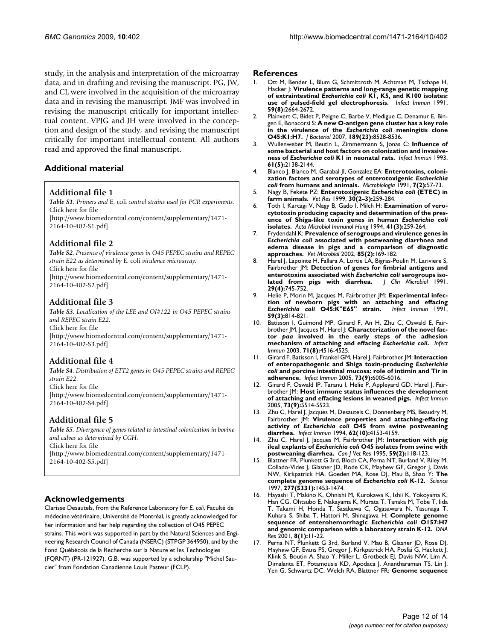study, in the analysis and interpretation of the microarray data, and in drafting and revising the manuscript. PG, JW, and CL were involved in the acquisition of the microarray data and in revising the manuscript. JMF was involved in revising the manuscript critically for important intellectual content. VPJG and JH were involved in the conception and design of the study, and revising the manuscript critically for important intellectual content. All authors read and approved the final manuscript.

### **Additional material**

#### **Additional file 1**

*Table S1. Primers and* E. coli *control strains used for PCR experiments.* Click here for file

[\[http://www.biomedcentral.com/content/supplementary/1471-](http://www.biomedcentral.com/content/supplementary/1471-2164-10-402-S1.pdf) 2164-10-402-S1.pdf]

#### **Additional file 2**

*Table S2. Presence of virulence genes in O45 PEPEC strains and REPEC strain E22 as determined by* E. coli *virulence microarray.* Click here for file [\[http://www.biomedcentral.com/content/supplementary/1471-](http://www.biomedcentral.com/content/supplementary/1471-2164-10-402-S2.pdf) 2164-10-402-S2.pdf]

# **Additional file 3**

*Table S3. Localization of the LEE and OI#122 in O45 PEPEC strains and REPEC strain E22.* Click here for file [\[http://www.biomedcentral.com/content/supplementary/1471-](http://www.biomedcentral.com/content/supplementary/1471-2164-10-402-S3.pdf) 2164-10-402-S3.pdf]

### **Additional file 4**

*Table S4. Distribution of ETT2 genes in O45 PEPEC strains and REPEC strain E22.* Click here for file [\[http://www.biomedcentral.com/content/supplementary/1471-](http://www.biomedcentral.com/content/supplementary/1471-2164-10-402-S4.pdf) 2164-10-402-S4.pdf]

### **Additional file 5**

*Table S5. Divergence of genes related to intestinal colonization in bovine and calves as determined by CGH.* Click here for file [\[http://www.biomedcentral.com/content/supplementary/1471-](http://www.biomedcentral.com/content/supplementary/1471-2164-10-402-S5.pdf) 2164-10-402-S5.pdf]

### **Acknowledgements**

Clarisse Desautels, from the Reference Laboratory for *E. coli*, Faculté de médecine vétérinaire, Université de Montréal, is greatly acknowledged for her information and her help regarding the collection of O45 PEPEC strains. This work was supported in part by the Natural Sciences and Engineering Research Council of Canada (NSERC) (STPGP 364950), and by the Fond Québécois de la Recherche sur la Nature et les Technologies (FQRNT) (PR-121927). G.B. was supported by a scholarship "Michel Saucier" from Fondation Canadienne Louis Pasteur (FCLP).

#### **References**

- 1. Ott M, Bender L, Blum G, Schmittroth M, Achtman M, Tschape H, Hacker J: **Virulence patterns and long-range genetic mapping of extraintestinal** *Escherichia coli* **[K1, K5, and K100 isolates:](http://www.ncbi.nlm.nih.gov/entrez/query.fcgi?cmd=Retrieve&db=PubMed&dopt=Abstract&list_uids=1677349) [use of pulsed-field gel electrophoresis.](http://www.ncbi.nlm.nih.gov/entrez/query.fcgi?cmd=Retrieve&db=PubMed&dopt=Abstract&list_uids=1677349)** *Infect Immun* 1991, **59(8):**2664-2672.
- Plainvert C, Bidet P, Peigne C, Barbe V, Medigue C, Denamur E, Bingen E, Bonacorsi S: **A new O-antigen gene cluster has a key role in the virulence of the** *Escherichia coli* **[meningitis clone](http://www.ncbi.nlm.nih.gov/entrez/query.fcgi?cmd=Retrieve&db=PubMed&dopt=Abstract&list_uids=17905975) [O45:K1:H7.](http://www.ncbi.nlm.nih.gov/entrez/query.fcgi?cmd=Retrieve&db=PubMed&dopt=Abstract&list_uids=17905975)** *J Bacteriol* 2007, **189(23):**8528-8536.
- 3. Wullenweber M, Beutin L, Zimmermann S, Jonas C: **Influence of some bacterial and host factors on colonization and invasiveness of** *Escherichia coli* **[K1 in neonatal rats.](http://www.ncbi.nlm.nih.gov/entrez/query.fcgi?cmd=Retrieve&db=PubMed&dopt=Abstract&list_uids=8478103)** *Infect Immun* 1993, **61(5):**2138-2144.
- <span id="page-11-0"></span>4. Blanco J, Blanco M, Garabal JI, Gonzalez EA: **Enterotoxins, colonization factors and serotypes of enterotoxigenic** *Escherichia coli* **[from humans and animals.](http://www.ncbi.nlm.nih.gov/entrez/query.fcgi?cmd=Retrieve&db=PubMed&dopt=Abstract&list_uids=1684712)** *Microbiologia* 1991, **7(2):**57-73.
- 5. Nagy B, Fekete PZ: **Enterotoxigenic** *Escherichia coli* **[\(ETEC\) in](http://www.ncbi.nlm.nih.gov/entrez/query.fcgi?cmd=Retrieve&db=PubMed&dopt=Abstract&list_uids=10367358) [farm animals.](http://www.ncbi.nlm.nih.gov/entrez/query.fcgi?cmd=Retrieve&db=PubMed&dopt=Abstract&list_uids=10367358)** *Vet Res* 1999, **30(2–3):**259-284.
- <span id="page-11-1"></span>6. Toth I, Karcagi V, Nagy B, Gado I, Milch H: **Examination of verocytotoxin producing capacity and determination of the presence of Shiga-like toxin genes in human** *Escherichia coli* **[isolates.](http://www.ncbi.nlm.nih.gov/entrez/query.fcgi?cmd=Retrieve&db=PubMed&dopt=Abstract&list_uids=7697321)** *Acta Microbiol Immunol Hung* 1994, **41(3):**259-264.
- 7. Frydendahl K: **Prevalence of serogroups and virulence genes in** *Escherichia coli* **[associated with postweaning diarrhoea and](http://www.ncbi.nlm.nih.gov/entrez/query.fcgi?cmd=Retrieve&db=PubMed&dopt=Abstract&list_uids=11844623) [edema disease in pigs and a comparison of diagnostic](http://www.ncbi.nlm.nih.gov/entrez/query.fcgi?cmd=Retrieve&db=PubMed&dopt=Abstract&list_uids=11844623) [approaches.](http://www.ncbi.nlm.nih.gov/entrez/query.fcgi?cmd=Retrieve&db=PubMed&dopt=Abstract&list_uids=11844623)** *Vet Microbiol* 2002, **85(2):**169-182.
- 8. Harel J, Lapointe H, Fallara A, Lortie LA, Bigras-Poulin M, Lariviere S, Fairbrother JM: **Detection of genes for fimbrial antigens and enterotoxins associated with** *Escherichia coli* **serogroups iso-<br>lated from pigs with diarrhea. | Clin Microbiol 1991,** [lated from pigs with diarrhea.](http://www.ncbi.nlm.nih.gov/entrez/query.fcgi?cmd=Retrieve&db=PubMed&dopt=Abstract&list_uids=1679765) **29(4):**745-752.
- 9. Helie P, Morin M, Jacques M, Fairbrother JM: **Experimental infection of newborn pigs with an attaching and effacing** *Escherichia coli* **[O45:K"E65" strain.](http://www.ncbi.nlm.nih.gov/entrez/query.fcgi?cmd=Retrieve&db=PubMed&dopt=Abstract&list_uids=1997432)** *Infect Immun* 1991, **59(3):**814-821.
- 10. Batisson I, Guimond MP, Girard F, An H, Zhu C, Oswald E, Fairbrother JM, Jacques M, Harel J: **Characterization of the novel factor** *paa* **involved in the early steps of the adhesion mechanism of attaching and effacing** *Escherichia coli***[.](http://www.ncbi.nlm.nih.gov/entrez/query.fcgi?cmd=Retrieve&db=PubMed&dopt=Abstract&list_uids=12874331)** *Infect Immun* 2003, **71(8):**4516-4525.
- 11. Girard F, Batisson I, Frankel GM, Harel J, Fairbrother JM: **Interaction of enteropathogenic and Shiga toxin-producing** *Escherichia coli* **[and porcine intestinal mucosa: role of intimin and Tir in](http://www.ncbi.nlm.nih.gov/entrez/query.fcgi?cmd=Retrieve&db=PubMed&dopt=Abstract&list_uids=16113321) [adherence.](http://www.ncbi.nlm.nih.gov/entrez/query.fcgi?cmd=Retrieve&db=PubMed&dopt=Abstract&list_uids=16113321)** *Infect Immun* 2005, **73(9):**6005-6016.
- 12. Girard F, Oswald IP, Taranu I, Helie P, Appleyard GD, Harel J, Fairbrother JM: **[Host immune status influences the development](http://www.ncbi.nlm.nih.gov/entrez/query.fcgi?cmd=Retrieve&db=PubMed&dopt=Abstract&list_uids=16113267) [of attaching and effacing lesions in weaned pigs.](http://www.ncbi.nlm.nih.gov/entrez/query.fcgi?cmd=Retrieve&db=PubMed&dopt=Abstract&list_uids=16113267)** *Infect Immun* 2005, **73(9):**5514-5523.
- 13. Zhu C, Harel J, Jacques M, Desautels C, Donnenberg MS, Beaudry M, Fairbrother JM: **Virulence properties and attaching-effacing activity of** *Escherichia coli* **[O45 from swine postweaning](http://www.ncbi.nlm.nih.gov/entrez/query.fcgi?cmd=Retrieve&db=PubMed&dopt=Abstract&list_uids=7927670) [diarrhea.](http://www.ncbi.nlm.nih.gov/entrez/query.fcgi?cmd=Retrieve&db=PubMed&dopt=Abstract&list_uids=7927670)** *Infect Immun* 1994, **62(10):**4153-4159.
- 14. Zhu C, Harel J, Jacques M, Fairbrother JM: **Interaction with pig ileal explants of** *Escherichia coli* **[O45 isolates from swine with](http://www.ncbi.nlm.nih.gov/entrez/query.fcgi?cmd=Retrieve&db=PubMed&dopt=Abstract&list_uids=7648523) [postweaning diarrhea.](http://www.ncbi.nlm.nih.gov/entrez/query.fcgi?cmd=Retrieve&db=PubMed&dopt=Abstract&list_uids=7648523)** *Can J Vet Res* 1995, **59(2):**118-123.
- 15. Blattner FR, Plunkett G 3rd, Bloch CA, Perna NT, Burland V, Riley M, Collado-Vides J, Glasner JD, Rode CK, Mayhew GF, Gregor J, Davis NW, Kirkpatrick HA, Goeden MA, Rose DJ, Mau B, Shao Y: **The complete genome sequence of** *Escherichia coli* **[K-12.](http://www.ncbi.nlm.nih.gov/entrez/query.fcgi?cmd=Retrieve&db=PubMed&dopt=Abstract&list_uids=9278503)** *Science* 1997, **277(5331):**1453-1474.
- Hayashi T, Makino K, Ohnishi M, Kurokawa K, Ishii K, Yokoyama K, Han CG, Ohtsubo E, Nakayama K, Murata T, Tanaka M, Tobe T, Iida T, Takami H, Honda T, Sasakawa C, Ogasawara N, Yasunaga T, Kuhara S, Shiba T, Hattori M, Shinagawa H: **Complete genome sequence of enterohemorrhagic** *Escherichia coli* **[O157:H7](http://www.ncbi.nlm.nih.gov/entrez/query.fcgi?cmd=Retrieve&db=PubMed&dopt=Abstract&list_uids=11258796) [and genomic comparison with a laboratory strain K-12.](http://www.ncbi.nlm.nih.gov/entrez/query.fcgi?cmd=Retrieve&db=PubMed&dopt=Abstract&list_uids=11258796)** *DNA Res* 2001, **8(1):**11-22.
- 17. Perna NT, Plunkett G 3rd, Burland V, Mau B, Glasner JD, Rose DJ, Mayhew GF, Evans PS, Gregor J, Kirkpatrick HA, Posfai G, Hackett J, Klink S, Boutin A, Shao Y, Miller L, Grotbeck EJ, Davis NW, Lim A, Dimalanta ET, Potamousis KD, Apodaca J, Anantharaman TS, Lin J, Yen G, Schwartz DC, Welch RA, Blattner FR: **Genome sequence**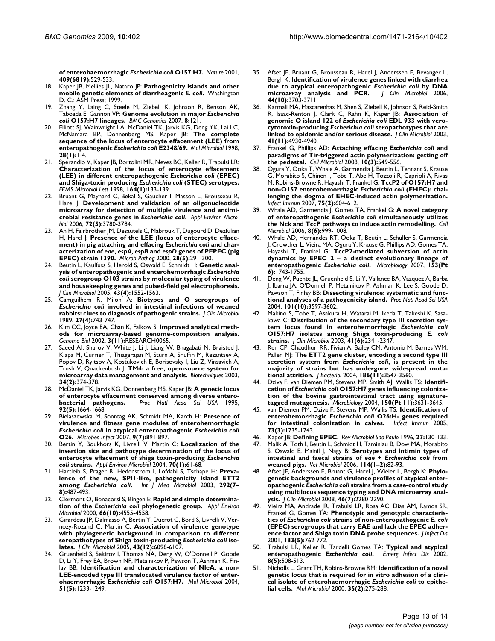**of enterohaemorrhagic** *Escherichia coli* **[O157:H7.](http://www.ncbi.nlm.nih.gov/entrez/query.fcgi?cmd=Retrieve&db=PubMed&dopt=Abstract&list_uids=11206551)** *Nature* 2001, **409(6819):**529-533.

- 18. Kaper JB, Mellies JL, Nataro JP: **Pathogenicity islands and other mobile genetic elements of diarrheagenic** *E. coli***.** Washington D. C.: ASM Press; 1999.
- 19. Zhang Y, Laing C, Steele M, Ziebell K, Johnson R, Benson AK, Taboada E, Gannon VP: **Genome evolution in major** *Escherichia coli* **[O157:H7 lineages.](http://www.ncbi.nlm.nih.gov/entrez/query.fcgi?cmd=Retrieve&db=PubMed&dopt=Abstract&list_uids=17506902)** *BMC Genomics* 2007, **8:**121.
- 20. Elliott SJ, Wainwright LA, McDaniel TK, Jarvis KG, Deng YK, Lai LC, McNamara BP, Donnenberg MS, Kaper JB: **The complete sequence of the locus of enterocyte effacement (LEE) from enteropathogenic** *Escherichia coli* **[E2348/69.](http://www.ncbi.nlm.nih.gov/entrez/query.fcgi?cmd=Retrieve&db=PubMed&dopt=Abstract&list_uids=9593291)** *Mol Microbiol* 1998, **28(1):**1-4.
- 21. Sperandio V, Kaper JB, Bortolini MR, Neves BC, Keller R, Trabulsi LR: **Characterization of the locus of enterocyte effacement (LEE) in different enteropathogenic** *Escherichia coli* **(EPEC) and Shiga-toxin producing** *Escherichia coli* **[\(STEC\) serotypes.](http://www.ncbi.nlm.nih.gov/entrez/query.fcgi?cmd=Retrieve&db=PubMed&dopt=Abstract&list_uids=9675859)** *FEMS Microbiol Lett* 1998, **164(1):**133-139.
- 22. Bruant G, Maynard C, Bekal S, Gaucher I, Masson L, Brousseau R, Harel  $\vert$ : **Development and validation of an oligonucleotide microarray for detection of multiple virulence and antimicrobial resistance genes in** *Escherichia coli***[.](http://www.ncbi.nlm.nih.gov/entrez/query.fcgi?cmd=Retrieve&db=PubMed&dopt=Abstract&list_uids=16672535)** *Appl Environ Microbiol* 2006, **72(5):**3780-3784.
- 23. An H, Fairbrother JM, Desautels C, Mabrouk T, Dugourd D, Dezfulian H, Harel J: **Presence of the LEE (locus of enterocyte effacement) in pig attaching and effacing** *Escherichia coli* **and characterization of** *eae***,** *espA***,** *espB* **and** *espD* **[genes of PEPEC \(pig](http://www.ncbi.nlm.nih.gov/entrez/query.fcgi?cmd=Retrieve&db=PubMed&dopt=Abstract&list_uids=10799279) [EPEC\) strain 1390.](http://www.ncbi.nlm.nih.gov/entrez/query.fcgi?cmd=Retrieve&db=PubMed&dopt=Abstract&list_uids=10799279)** *Microb Pathog* 2000, **28(5):**291-300.
- 24. Beutin L, Kaulfuss S, Herold S, Oswald E, Schmidt H: **Genetic analysis of enteropathogenic and enterohemorrhagic** *Escherichia coli* **[serogroup O103 strains by molecular typing of virulence](http://www.ncbi.nlm.nih.gov/entrez/query.fcgi?cmd=Retrieve&db=PubMed&dopt=Abstract&list_uids=15814965) [and housekeeping genes and pulsed-field gel electrophoresis.](http://www.ncbi.nlm.nih.gov/entrez/query.fcgi?cmd=Retrieve&db=PubMed&dopt=Abstract&list_uids=15814965)** *J Clin Microbiol* 2005, **43(4):**1552-1563.
- 25. Camguilhem R, Milon A: **Biotypes and O serogroups of** *Escherichia coli* **[involved in intestinal infections of weaned](http://www.ncbi.nlm.nih.gov/entrez/query.fcgi?cmd=Retrieve&db=PubMed&dopt=Abstract&list_uids=2656746) [rabbits: clues to diagnosis of pathogenic strains.](http://www.ncbi.nlm.nih.gov/entrez/query.fcgi?cmd=Retrieve&db=PubMed&dopt=Abstract&list_uids=2656746)** *J Clin Microbiol* 1989, **27(4):**743-747.
- 26. Kim CC, Joyce EA, Chan K, Falkow S: **[Improved analytical meth](http://www.ncbi.nlm.nih.gov/entrez/query.fcgi?cmd=Retrieve&db=PubMed&dopt=Abstract&list_uids=12429064)[ods for microarray-based genome-composition analysis.](http://www.ncbi.nlm.nih.gov/entrez/query.fcgi?cmd=Retrieve&db=PubMed&dopt=Abstract&list_uids=12429064)** *Genome Biol* 2002, **3(11):**RESEARCH0065.
- Saeed AI, Sharov V, White J, Li J, Liang W, Bhagabati N, Braisted J, Klapa M, Currier T, Thiagarajan M, Sturn A, Snuffin M, Rezantsev A, Popov D, Ryltsov A, Kostukovich E, Borisovsky I, Liu Z, Vinsavich A, Trush V, Quackenbush J: **[TM4: a free, open-source system for](http://www.ncbi.nlm.nih.gov/entrez/query.fcgi?cmd=Retrieve&db=PubMed&dopt=Abstract&list_uids=12613259) [microarray data management and analysis.](http://www.ncbi.nlm.nih.gov/entrez/query.fcgi?cmd=Retrieve&db=PubMed&dopt=Abstract&list_uids=12613259)** *Biotechniques* 2003, **34(2):**374-378.
- 28. McDaniel TK, Jarvis KG, Donnenberg MS, Kaper JB: **[A genetic locus](http://www.ncbi.nlm.nih.gov/entrez/query.fcgi?cmd=Retrieve&db=PubMed&dopt=Abstract&list_uids=7878036) [of enterocyte effacement conserved among diverse entero](http://www.ncbi.nlm.nih.gov/entrez/query.fcgi?cmd=Retrieve&db=PubMed&dopt=Abstract&list_uids=7878036)[bacterial pathogens.](http://www.ncbi.nlm.nih.gov/entrez/query.fcgi?cmd=Retrieve&db=PubMed&dopt=Abstract&list_uids=7878036)** *Proc Natl Acad Sci USA* 1995, **92(5):**1664-1668.
- 29. Bielaszewska M, Sonntag AK, Schmidt MA, Karch H: **Presence of virulence and fitness gene modules of enterohemorrhagic** *Escherichia coli* **in atypical enteropathogenic** *Escherichia coli* **[O26.](http://www.ncbi.nlm.nih.gov/entrez/query.fcgi?cmd=Retrieve&db=PubMed&dopt=Abstract&list_uids=17544311)** *Microbes Infect* 2007, **9(7):**891-897.
- 30. Bertin Y, Boukhors K, Livrelli V, Martin C: **Localization of the insertion site and pathotype determination of the locus of enterocyte effacement of shiga toxin-producing** *Escherichia coli* **[strains.](http://www.ncbi.nlm.nih.gov/entrez/query.fcgi?cmd=Retrieve&db=PubMed&dopt=Abstract&list_uids=14711626)** *Appl Environ Microbiol* 2004, **70(1):**61-68.
- 31. Hartleib S, Prager R, Hedenstrom I, Lofdahl S, Tschape H: **Prevalence of the new, SPI1-like, pathogenicity island ETT2 among** *Escherichia coli***[.](http://www.ncbi.nlm.nih.gov/entrez/query.fcgi?cmd=Retrieve&db=PubMed&dopt=Abstract&list_uids=12635931)** *Int J Med Microbiol* 2003, **292(7– 8):**487-493.
- Clermont O, Bonacorsi S, Bingen E: Rapid and simple determina**tion of the** *Escherichia coli* **[phylogenetic group.](http://www.ncbi.nlm.nih.gov/entrez/query.fcgi?cmd=Retrieve&db=PubMed&dopt=Abstract&list_uids=11010916)** *Appl Environ Microbiol* 2000, **66(10):**4555-4558.
- 33. Girardeau JP, Dalmasso A, Bertin Y, Ducrot C, Bord S, Livrelli V, Vernozy-Rozand C, Martin C: **Association of virulence genotype with phylogenetic background in comparison to different seropathotypes of Shiga toxin-producing** *Escherichia coli* **[iso](http://www.ncbi.nlm.nih.gov/entrez/query.fcgi?cmd=Retrieve&db=PubMed&dopt=Abstract&list_uids=16333104)[lates.](http://www.ncbi.nlm.nih.gov/entrez/query.fcgi?cmd=Retrieve&db=PubMed&dopt=Abstract&list_uids=16333104)** *J Clin Microbiol* 2005, **43(12):**6098-6107.
- 34. Gruenheid S, Sekirov I, Thomas NA, Deng W, O'Donnell P, Goode D, Li Y, Frey EA, Brown NF, Metalnikov P, Pawson T, Ashman K, Finlay BB: **Identification and characterization of NleA, a non-LEE-encoded type III translocated virulence factor of enterohaemorrhagic** *Escherichia coli* **[O157:H7.](http://www.ncbi.nlm.nih.gov/entrez/query.fcgi?cmd=Retrieve&db=PubMed&dopt=Abstract&list_uids=14982621)** *Mol Microbiol* 2004, **51(5):**1233-1249.
- 35. Afset JE, Bruant G, Brousseau R, Harel J, Anderssen E, Bevanger L, Bergh K: **Identification of virulence genes linked with diarrhea due to atypical enteropathogenic** *Escherichia coli* **[by DNA](http://www.ncbi.nlm.nih.gov/entrez/query.fcgi?cmd=Retrieve&db=PubMed&dopt=Abstract&list_uids=17021100) [microarray analysis and PCR.](http://www.ncbi.nlm.nih.gov/entrez/query.fcgi?cmd=Retrieve&db=PubMed&dopt=Abstract&list_uids=17021100)** *J Clin Microbiol* 2006, **44(10):**3703-3711.
- 36. Karmali MA, Mascarenhas M, Shen S, Ziebell K, Johnson S, Reid-Smith R, Isaac-Renton J, Clark C, Rahn K, Kaper JB: **Association of genomic O island 122 of** *Escherichia coli* **EDL 933 with verocytotoxin-producing** *Escherichia coli* **[seropathotypes that are](http://www.ncbi.nlm.nih.gov/entrez/query.fcgi?cmd=Retrieve&db=PubMed&dopt=Abstract&list_uids=14605120) [linked to epidemic and/or serious disease.](http://www.ncbi.nlm.nih.gov/entrez/query.fcgi?cmd=Retrieve&db=PubMed&dopt=Abstract&list_uids=14605120)** *J Clin Microbiol* 2003, **41(11):**4930-4940.
- 37. Frankel G, Phillips AD: **Attaching effacing** *Escherichia coli* **[and](http://www.ncbi.nlm.nih.gov/entrez/query.fcgi?cmd=Retrieve&db=PubMed&dopt=Abstract&list_uids=18053003) [paradigms of Tir-triggered actin polymerization: getting off](http://www.ncbi.nlm.nih.gov/entrez/query.fcgi?cmd=Retrieve&db=PubMed&dopt=Abstract&list_uids=18053003) [the pedestal.](http://www.ncbi.nlm.nih.gov/entrez/query.fcgi?cmd=Retrieve&db=PubMed&dopt=Abstract&list_uids=18053003)** *Cell Microbiol* 2008, **10(3):**549-556.
- 38. Ogura Y, Ooka T, Whale A, Garmendia J, Beutin L, Tennant S, Krause G, Morabito S, Chinen I, Tobe T, Abe H, Tozzoli R, Caprioli A, Rivas M, Robins-Browne R, Hayashi T, Frankel G: **TccP2 of O157:H7 and non-O157 enterohemorrhagic** *Escherichia coli* **[\(EHEC\): chal](http://www.ncbi.nlm.nih.gov/entrez/query.fcgi?cmd=Retrieve&db=PubMed&dopt=Abstract&list_uids=17101643)[lenging the dogma of EHEC-induced actin polymerization.](http://www.ncbi.nlm.nih.gov/entrez/query.fcgi?cmd=Retrieve&db=PubMed&dopt=Abstract&list_uids=17101643)** *Infect Immun* 2007, **75(2):**604-612.
- 39. Whale AD, Garmendia J, Gomes TA, Frankel G: **A novel category of enteropathogenic** *Escherichia coli* **[simultaneously utilizes](http://www.ncbi.nlm.nih.gov/entrez/query.fcgi?cmd=Retrieve&db=PubMed&dopt=Abstract&list_uids=16681840) [the Nck and TccP pathways to induce actin remodelling.](http://www.ncbi.nlm.nih.gov/entrez/query.fcgi?cmd=Retrieve&db=PubMed&dopt=Abstract&list_uids=16681840)** *Cell Microbiol* 2006, **8(6):**999-1008.
- 40. Whale AD, Hernandes RT, Ooka T, Beutin L, Schuller S, Garmendia J, Crowther L, Vieira MA, Ogura Y, Krause G, Phillips AD, Gomes TA, Hayashi T, Frankel G: **TccP2-mediated subversion of actin dynamics by EPEC 2 – a distinct evolutionary lineage of enteropathogenic** *Escherichia coli***[.](http://www.ncbi.nlm.nih.gov/entrez/query.fcgi?cmd=Retrieve&db=PubMed&dopt=Abstract&list_uids=17526832)** *Microbiology* 2007, **153(Pt 6):**1743-1755.
- 41. Deng W, Puente JL, Gruenheid S, Li Y, Vallance BA, Vazquez A, Barba J, Ibarra JA, O'Donnell P, Metalnikov P, Ashman K, Lee S, Goode D, Pawson T, Finlay BB: **[Dissecting virulence: systematic and func](http://www.ncbi.nlm.nih.gov/entrez/query.fcgi?cmd=Retrieve&db=PubMed&dopt=Abstract&list_uids=14988506)[tional analyses of a pathogenicity island.](http://www.ncbi.nlm.nih.gov/entrez/query.fcgi?cmd=Retrieve&db=PubMed&dopt=Abstract&list_uids=14988506)** *Proc Natl Acad Sci USA* 2004, **101(10):**3597-3602.
- Makino S, Tobe T, Asakura H, Watarai M, Ikeda T, Takeshi K, Sasakawa C: **Distribution of the secondary type III secretion system locus found in enterohemorrhagic** *Escherichia coli* **O157:H7 isolates among Shiga toxin-producing** *E. coli* **[strains.](http://www.ncbi.nlm.nih.gov/entrez/query.fcgi?cmd=Retrieve&db=PubMed&dopt=Abstract&list_uids=12791847)** *J Clin Microbiol* 2003, **41(6):**2341-2347.
- Ren CP, Chaudhuri RR, Fivian A, Bailey CM, Antonio M, Barnes WM, Pallen MJ: **The ETT2 gene cluster, encoding a second type III secretion system from** *Escherichia coli***[, is present in the](http://www.ncbi.nlm.nih.gov/entrez/query.fcgi?cmd=Retrieve&db=PubMed&dopt=Abstract&list_uids=15150243) [majority of strains but has undergone widespread muta](http://www.ncbi.nlm.nih.gov/entrez/query.fcgi?cmd=Retrieve&db=PubMed&dopt=Abstract&list_uids=15150243)[tional attrition.](http://www.ncbi.nlm.nih.gov/entrez/query.fcgi?cmd=Retrieve&db=PubMed&dopt=Abstract&list_uids=15150243)** *J Bacteriol* 2004, **186(11):**3547-3560.
- 44. Dziva F, van Diemen PM, Stevens MP, Smith AJ, Wallis TS: **Identification of** *Escherichia coli* **[O157:H7 genes influencing coloniza](http://www.ncbi.nlm.nih.gov/entrez/query.fcgi?cmd=Retrieve&db=PubMed&dopt=Abstract&list_uids=15528651)[tion of the bovine gastrointestinal tract using signature](http://www.ncbi.nlm.nih.gov/entrez/query.fcgi?cmd=Retrieve&db=PubMed&dopt=Abstract&list_uids=15528651)[tagged mutagenesis.](http://www.ncbi.nlm.nih.gov/entrez/query.fcgi?cmd=Retrieve&db=PubMed&dopt=Abstract&list_uids=15528651)** *Microbiology* 2004, **150(Pt 11):**3631-3645.
- 45. van Diemen PM, Dziva F, Stevens MP, Wallis TS: **Identification of enterohemorrhagic** *Escherichia coli* **[O26:H- genes required](http://www.ncbi.nlm.nih.gov/entrez/query.fcgi?cmd=Retrieve&db=PubMed&dopt=Abstract&list_uids=15731074) [for intestinal colonization in calves.](http://www.ncbi.nlm.nih.gov/entrez/query.fcgi?cmd=Retrieve&db=PubMed&dopt=Abstract&list_uids=15731074)** *Infect Immun* 2005, **73(3):**1735-1743.
- 46. Kaper JB: **Defining EPEC.** *Rev Microbiol Sao Paulo* 1996, **27:**130-133.
- Malik A, Toth I, Beutin L, Schmidt H, Taminiau B, Dow MA, Morabito S, Oswald E, Mainil J, Nagy B: **Serotypes and intimin types of intestinal and faecal strains of** *eae* **+** *Escherichia coli* **[from](http://www.ncbi.nlm.nih.gov/entrez/query.fcgi?cmd=Retrieve&db=PubMed&dopt=Abstract&list_uids=16326041) [weaned pigs.](http://www.ncbi.nlm.nih.gov/entrez/query.fcgi?cmd=Retrieve&db=PubMed&dopt=Abstract&list_uids=16326041)** *Vet Microbiol* 2006, **114(1–2):**82-93.
- 48. Afset JE, Anderssen E, Bruant G, Harel J, Wieler L, Bergh K: **Phylogenetic backgrounds and virulence profiles of atypical enteropathogenic** *Escherichia coli* **[strains from a case-control study](http://www.ncbi.nlm.nih.gov/entrez/query.fcgi?cmd=Retrieve&db=PubMed&dopt=Abstract&list_uids=18463209) [using multilocus sequence typing and DNA microarray anal](http://www.ncbi.nlm.nih.gov/entrez/query.fcgi?cmd=Retrieve&db=PubMed&dopt=Abstract&list_uids=18463209)[ysis.](http://www.ncbi.nlm.nih.gov/entrez/query.fcgi?cmd=Retrieve&db=PubMed&dopt=Abstract&list_uids=18463209)** *J Clin Microbiol* 2008, **46(7):**2280-2290.
- 49. Vieira MA, Andrade JR, Trabulsi LR, Rosa AC, Dias AM, Ramos SR, Frankel G, Gomes TA: **Phenotypic and genotypic characteristics of** *Escherichia coli* **strains of non-enteropathogenic** *E. coli* **[\(EPEC\) serogroups that carry EAE and lack the EPEC adher](http://www.ncbi.nlm.nih.gov/entrez/query.fcgi?cmd=Retrieve&db=PubMed&dopt=Abstract&list_uids=11181153)[ence factor and Shiga toxin DNA probe sequences.](http://www.ncbi.nlm.nih.gov/entrez/query.fcgi?cmd=Retrieve&db=PubMed&dopt=Abstract&list_uids=11181153)** *J Infect Dis* 2001, **183(5):**762-772.
- 50. Trabulsi LR, Keller R, Tardelli Gomes TA: **Typical and atypical enteropathogenic** *Escherichia coli***[.](http://www.ncbi.nlm.nih.gov/entrez/query.fcgi?cmd=Retrieve&db=PubMed&dopt=Abstract&list_uids=11996687)** *Emerg Infect Dis* 2002, **8(5):**508-513.
- 51. Nicholls L, Grant TH, Robins-Browne RM: **Identification of a novel genetic locus that is required for in vitro adhesion of a clinical isolate of enterohaemorrhagic** *Escherichia coli* **[to epithe](http://www.ncbi.nlm.nih.gov/entrez/query.fcgi?cmd=Retrieve&db=PubMed&dopt=Abstract&list_uids=10652089)[lial cells.](http://www.ncbi.nlm.nih.gov/entrez/query.fcgi?cmd=Retrieve&db=PubMed&dopt=Abstract&list_uids=10652089)** *Mol Microbiol* 2000, **35(2):**275-288.